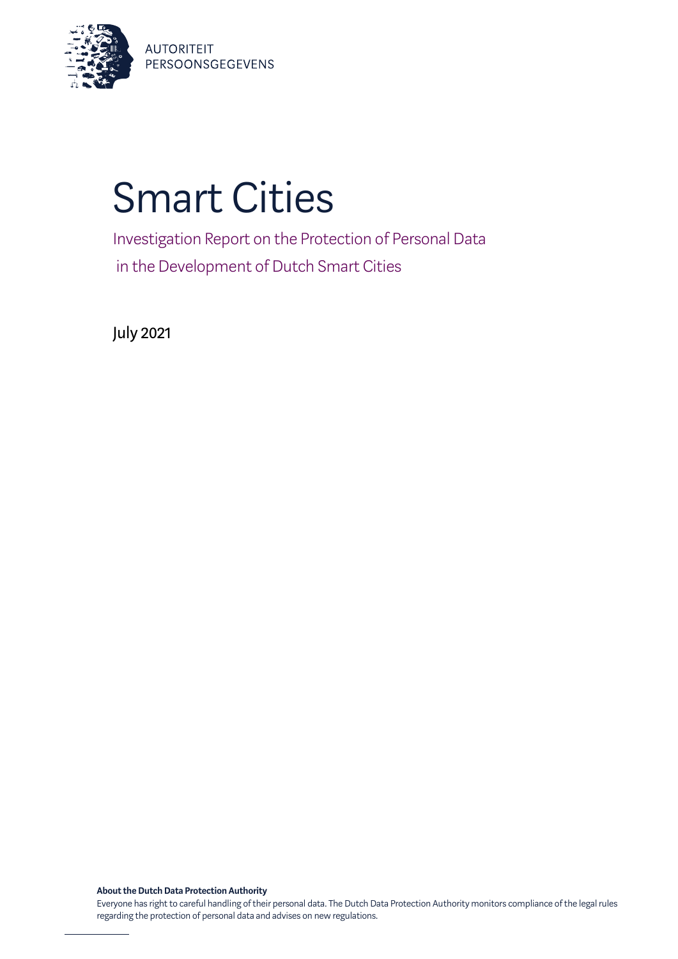

# Smart Cities

Investigation Report on the Protection of Personal Data in the Development of Dutch Smart Cities

July 2021

**About the Dutch Data Protection Authority**

Everyone has right to careful handling of their personal data. The Dutch Data Protection Authority monitors compliance of the legal rules regarding the protection of personal data and advises on new regulations.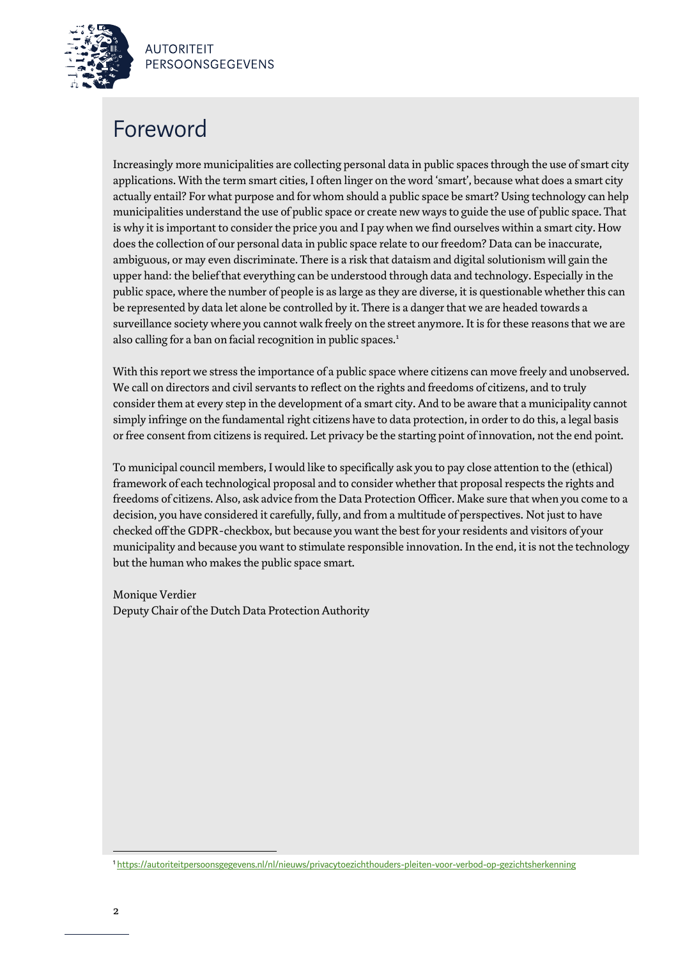# Foreword

Increasingly more municipalities are collecting personal data in public spaces through the use of smart city applications. With the term smart cities, I often linger on the word 'smart', because what does a smart city actually entail? For what purpose and for whom should a public space be smart? Using technology can help municipalities understand the use of public space or create new ways to guide the use of public space. That is why it is important to consider the price you and I pay when we find ourselves within a smart city. How does the collection of our personal data in public space relate to our freedom? Data can be inaccurate, ambiguous, or may even discriminate. There is a risk that dataism and digital solutionism will gain the upper hand: the belief that everything can be understood through data and technology. Especially in the public space, where the number of people is as large as they are diverse, it is questionable whether this can be represented by data let alone be controlled by it. There is a danger that we are headed towards a surveillance society where you cannot walk freely on the street anymore. It is for these reasons that we are also calling for a ban on facial recognition in public spaces.<sup>1</sup>

With this report we stress the importance of a public space where citizens can move freely and unobserved. We call on directors and civil servants to reflect on the rights and freedoms of citizens, and to truly consider them at every step in the development of a smart city. And to be aware that a municipality cannot simply infringe on the fundamental right citizens have to data protection, in order to do this, a legal basis or free consent from citizensis required. Let privacy be the starting point of innovation, not the end point.

To municipal council members, I would like to specifically ask you to pay close attention to the (ethical) framework of each technological proposal and to consider whether that proposal respects the rights and freedoms of citizens. Also, ask advice from the Data Protection Officer. Make sure that when you come to a decision, you have considered it carefully, fully, and from a multitude of perspectives. Not just to have checked off the GDPR-checkbox, but because you want the best for your residents and visitors of your municipality and because you want to stimulate responsible innovation. In the end, it is not the technology but the human who makes the public space smart.

Monique Verdier Deputy Chair of the Dutch Data Protection Authority

<sup>1</sup> <https://autoriteitpersoonsgegevens.nl/nl/nieuws/privacytoezichthouders-pleiten-voor-verbod-op-gezichtsherkenning>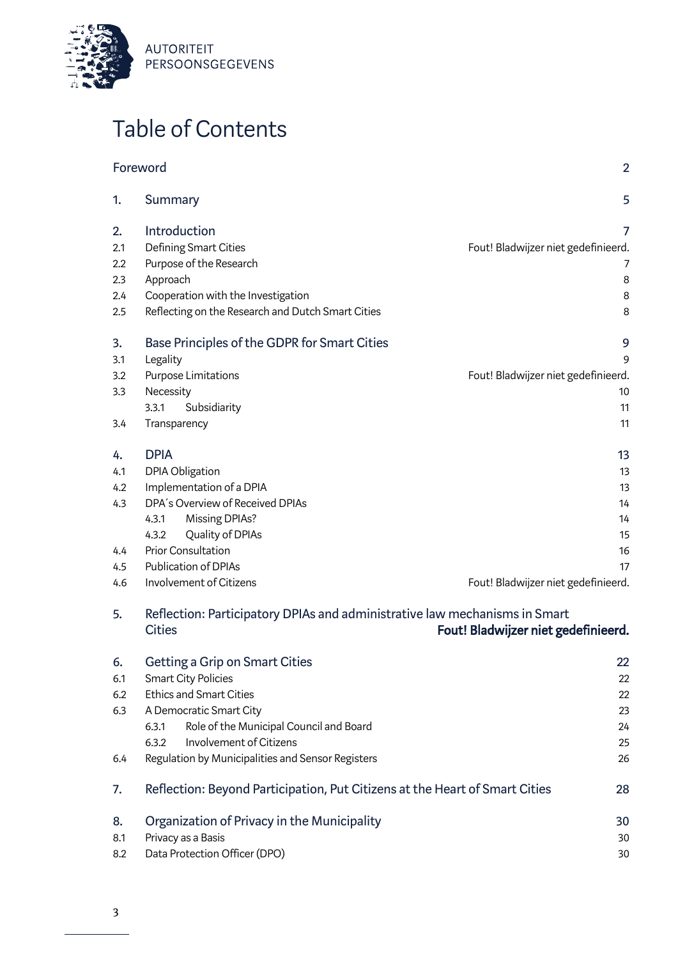

# Table of Contents

| Foreword |                                                                                             | $\overline{2}$                      |
|----------|---------------------------------------------------------------------------------------------|-------------------------------------|
| 1.       | <b>Summary</b>                                                                              | 5                                   |
| 2.       | Introduction                                                                                | 7                                   |
| 2.1      | Defining Smart Cities                                                                       | Fout! Bladwijzer niet gedefinieerd. |
| 2.2      | Purpose of the Research                                                                     | 7                                   |
| 2.3      | Approach                                                                                    | 8                                   |
| 2.4      | Cooperation with the Investigation                                                          | 8                                   |
| 2.5      | Reflecting on the Research and Dutch Smart Cities                                           | 8                                   |
| 3.       | Base Principles of the GDPR for Smart Cities                                                | 9                                   |
| 3.1      | Legality                                                                                    | 9                                   |
| 3.2      | Purpose Limitations                                                                         | Fout! Bladwijzer niet gedefinieerd. |
| 3.3      | Necessity                                                                                   | 10                                  |
|          | 3.3.1<br>Subsidiarity                                                                       | 11                                  |
| 3.4      | Transparency                                                                                | 11                                  |
| 4.       | <b>DPIA</b>                                                                                 | 13                                  |
| 4.1      | DPIA Obligation                                                                             | 13                                  |
| 4.2      | Implementation of a DPIA                                                                    | 13                                  |
| 4.3      | DPA's Overview of Received DPIAs                                                            | 14                                  |
|          | Missing DPIAs?<br>4.3.1                                                                     | 14                                  |
|          | Quality of DPIAs<br>4.3.2                                                                   | 15                                  |
| 4.4      | <b>Prior Consultation</b>                                                                   | 16                                  |
| 4.5      | Publication of DPIAs                                                                        | 17                                  |
| 4.6      | Involvement of Citizens                                                                     | Fout! Bladwijzer niet gedefinieerd. |
| 5.       | Reflection: Participatory DPIAs and administrative law mechanisms in Smart<br><b>Cities</b> | Fout! Bladwijzer niet gedefinieerd. |

| 6.  | <b>Getting a Grip on Smart Cities</b>                                       | 22 |
|-----|-----------------------------------------------------------------------------|----|
| 6.1 | Smart City Policies                                                         | 22 |
| 6.2 | <b>Ethics and Smart Cities</b>                                              | 22 |
| 6.3 | A Democratic Smart City                                                     | 23 |
|     | Role of the Municipal Council and Board<br>6.3.1                            | 24 |
|     | Involvement of Citizens<br>6.3.2                                            | 25 |
| 6.4 | Regulation by Municipalities and Sensor Registers                           | 26 |
| 7.  | Reflection: Beyond Participation, Put Citizens at the Heart of Smart Cities | 28 |
| 8.  | Organization of Privacy in the Municipality                                 | 30 |
| 8.1 | Privacy as a Basis                                                          | 30 |
| 8.2 | Data Protection Officer (DPO)                                               | 30 |
|     |                                                                             |    |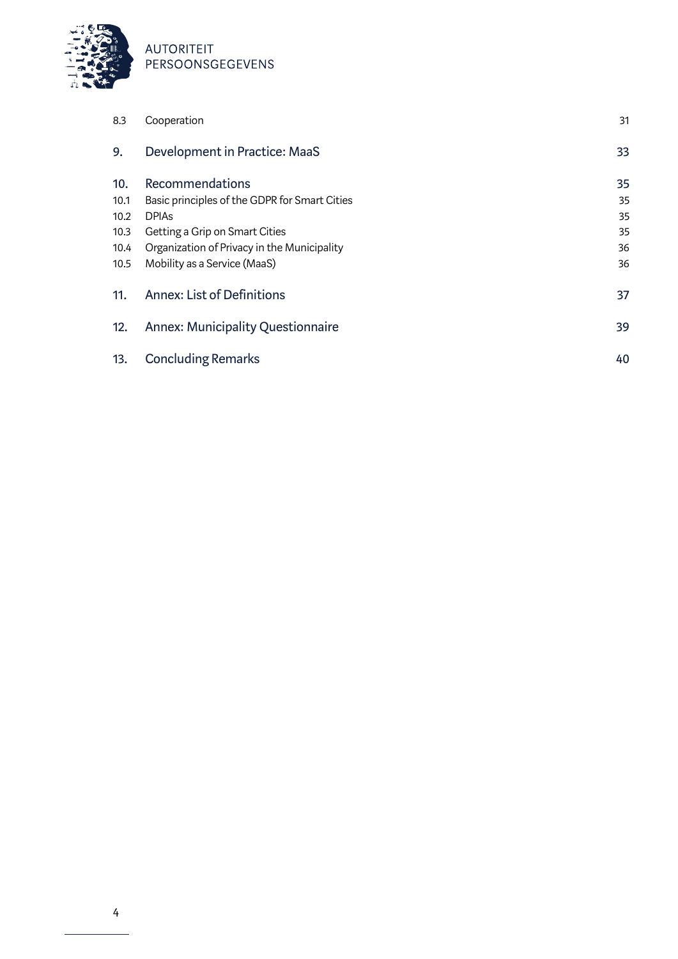

| 8.3  | Cooperation                                   | 31 |
|------|-----------------------------------------------|----|
| 9.   | Development in Practice: MaaS                 | 33 |
| 10.  | Recommendations                               | 35 |
| 10.1 | Basic principles of the GDPR for Smart Cities | 35 |
| 10.2 | <b>DPIAs</b>                                  | 35 |
| 10.3 | Getting a Grip on Smart Cities                | 35 |
| 10.4 | Organization of Privacy in the Municipality   | 36 |
| 10.5 | Mobility as a Service (MaaS)                  | 36 |
| 11.  | <b>Annex: List of Definitions</b>             | 37 |
| 12.  | <b>Annex: Municipality Questionnaire</b>      | 39 |
| 13.  | <b>Concluding Remarks</b>                     | 40 |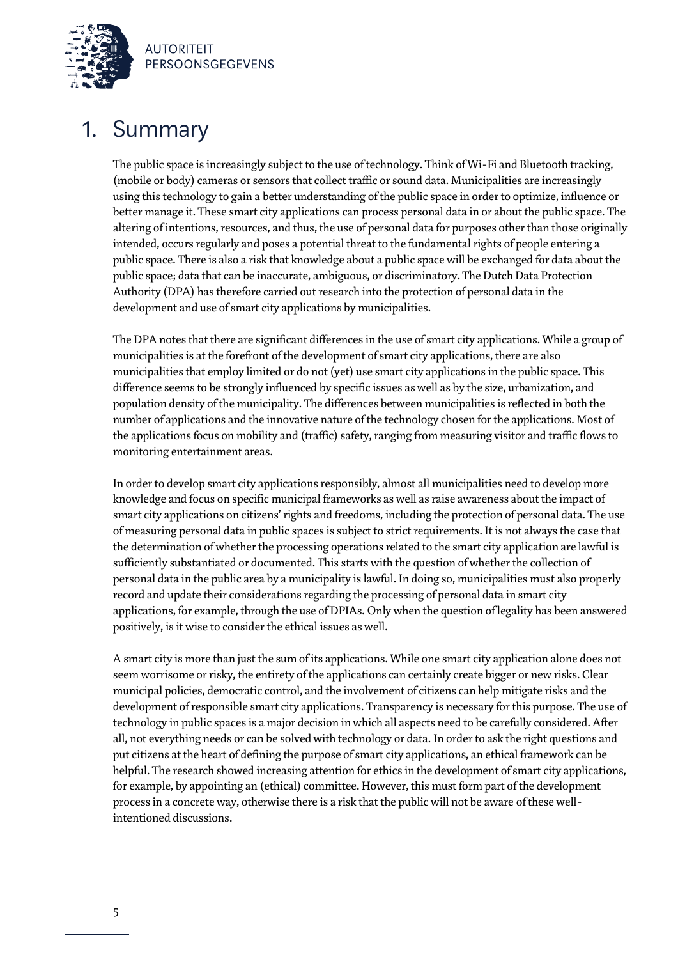

### 1. Summary

The public space is increasingly subject to the use of technology. Think of Wi-Fi and Bluetooth tracking, (mobile or body) cameras or sensors that collect traffic or sound data. Municipalities are increasingly using this technology to gain a better understanding of the public space in order to optimize, influence or better manage it. These smart city applications can process personal data in or about the public space. The altering of intentions, resources, and thus, the use of personal data for purposes other than those originally intended, occurs regularly and poses a potential threat to the fundamental rights of people entering a public space. There is also a risk that knowledge about a public space will be exchanged for data about the public space; data that can be inaccurate, ambiguous, or discriminatory. The Dutch Data Protection Authority (DPA) has therefore carried out research into the protection of personal data in the development and use of smart city applications by municipalities.

The DPA notes that there are significant differences in the use of smart city applications. While a group of municipalities is at the forefront of the development of smart city applications, there are also municipalities that employ limited or do not (yet) use smart city applications in the public space. This difference seems to be strongly influenced by specific issues as well as by the size, urbanization, and population density of the municipality. The differences between municipalities is reflected in both the number of applications and the innovative nature of the technology chosen for the applications. Most of the applications focus on mobility and (traffic) safety, ranging from measuring visitor and traffic flows to monitoring entertainment areas.

In order to develop smart city applications responsibly, almost all municipalities need to develop more knowledge and focus on specific municipal frameworks as well asraise awareness about the impact of smart city applications on citizens' rights and freedoms, including the protection of personal data. The use of measuring personal data in public spaces is subject to strict requirements. It is not always the case that the determination of whether the processing operations related to the smart city application are lawful is sufficiently substantiated or documented. This starts with the question of whether the collection of personal data in the public area by a municipality is lawful. In doing so, municipalities must also properly record and update their considerations regarding the processing of personal data in smart city applications, for example, through the use of DPIAs. Only when the question of legality has been answered positively, is it wise to consider the ethical issues as well.

A smart city is more than just the sum of its applications. While one smart city application alone does not seem worrisome or risky, the entirety of the applications can certainly create bigger or new risks. Clear municipal policies, democratic control, and the involvement of citizens can help mitigate risks and the development of responsible smart city applications. Transparency is necessary for this purpose. The use of technology in public spaces is a major decision in which all aspects need to be carefully considered. After all, not everything needs or can be solved with technology or data. In order to ask the right questions and put citizens at the heart of defining the purpose of smart city applications, an ethical framework can be helpful. The research showed increasing attention for ethics in the development of smart city applications, for example, by appointing an (ethical) committee. However, this must form part of the development process in a concrete way, otherwise there is a risk that the public will not be aware of these wellintentioned discussions.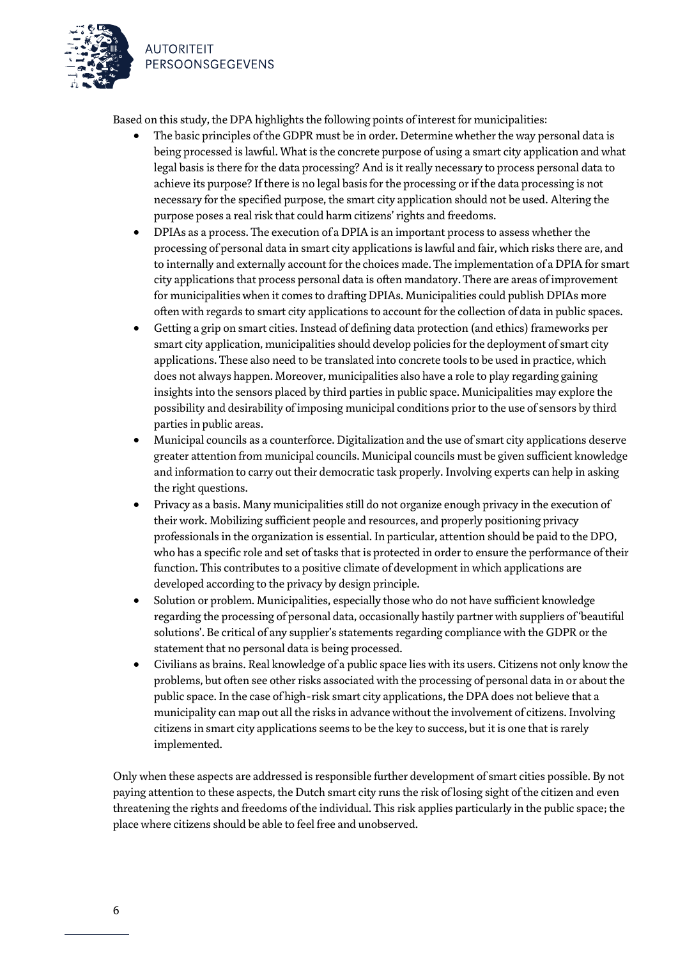



Based on this study, the DPA highlights the following points of interest for municipalities:

- The basic principles of the GDPR must be in order. Determine whether the way personal data is being processed is lawful. What is the concrete purpose of using a smart city application and what legal basis is there for the data processing? And is it really necessary to process personal data to achieve its purpose? If there is no legal basis for the processing or if the data processing is not necessary for the specified purpose, the smart city application should not be used. Altering the purpose poses a real risk that could harm citizens' rights and freedoms.
- DPIAs as a process. The execution of a DPIA is an important process to assess whether the processing of personal data in smart city applications is lawful and fair, which risks there are, and to internally and externally account for the choices made. The implementation of a DPIA for smart city applications that process personal data is often mandatory. There are areas of improvement for municipalities when it comes to drafting DPIAs. Municipalities could publish DPIAs more often with regards to smart city applicationsto account for the collection of data in public spaces.
- Getting a grip on smart cities. Instead of defining data protection (and ethics) frameworks per smart city application, municipalities should develop policies for the deployment of smart city applications. These also need to be translated into concrete tools to be used in practice, which does not always happen. Moreover, municipalities also have a role to play regarding gaining insights into the sensors placed by third parties in public space. Municipalities may explore the possibility and desirability of imposing municipal conditions prior to the use of sensors by third parties in public areas.
- Municipal councils as a counterforce. Digitalization and the use of smart city applications deserve greater attention from municipal councils. Municipal councils must be given sufficient knowledge and information to carry out their democratic task properly. Involving experts can help in asking the right questions.
- Privacy as a basis. Many municipalities still do not organize enough privacy in the execution of their work. Mobilizing sufficient people and resources, and properly positioning privacy professionals in the organization is essential. In particular, attention should be paid to the DPO, who has a specific role and set of tasks that is protected in order to ensure the performance of their function. This contributes to a positive climate of development in which applications are developed according to the privacy by design principle.
- Solution or problem. Municipalities, especially those who do not have sufficient knowledge regarding the processing of personal data, occasionally hastily partner with suppliers of 'beautiful solutions'. Be critical of any supplier's statements regarding compliance with the GDPR or the statement that no personal data is being processed.
- Civilians as brains. Real knowledge of a public space lies with its users. Citizens not only know the problems, but often see other risks associated with the processing of personal data in or about the public space. In the case of high-risk smart city applications, the DPA does not believe that a municipality can map out all the risks in advance without the involvement of citizens. Involving citizens in smart city applications seems to be the key to success, but it is one that is rarely implemented.

Only when these aspects are addressed is responsible further development of smart cities possible. By not paying attention to these aspects, the Dutch smart city runs the risk of losing sight of the citizen and even threatening the rights and freedoms of the individual. This risk applies particularly in the public space; the place where citizens should be able to feel free and unobserved.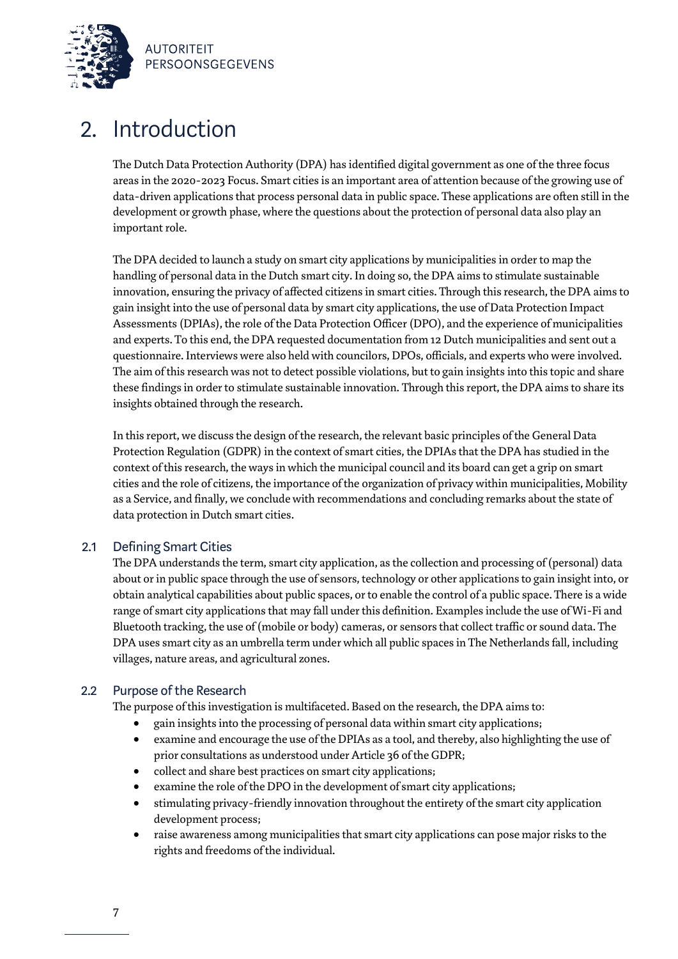

### 2. Introduction

The Dutch Data Protection Authority (DPA) has identified digital government as one of the three focus areas in the 2020-2023 Focus. Smart cities is an important area of attention because of the growing use of data-driven applications that process personal data in public space. These applications are often still in the development or growth phase, where the questions about the protection of personal data also play an important role.

The DPA decided to launch a study on smart city applications by municipalities in order to map the handling of personal data in the Dutch smart city. In doing so, the DPA aims to stimulate sustainable innovation, ensuring the privacy of affected citizens in smart cities. Through this research, the DPA aims to gain insight into the use of personal data by smart city applications, the use of Data Protection Impact Assessments(DPIAs), the role of the Data Protection Officer (DPO), and the experience of municipalities and experts. To this end, the DPA requested documentation from 12 Dutch municipalities and sent out a questionnaire. Interviews were also held with councilors, DPOs, officials, and experts who were involved. The aim of this research was not to detect possible violations, but to gain insights into this topic and share these findings in order to stimulate sustainable innovation. Through this report, the DPA aims to share its insights obtained through the research.

In this report, we discuss the design of the research, the relevant basic principles of the General Data Protection Regulation (GDPR) in the context of smart cities, the DPIAs that the DPA has studied in the context of this research, the waysin which the municipal council and its board can get a grip on smart cities and the role of citizens, the importance of the organization of privacy within municipalities, Mobility as a Service, and finally, we conclude with recommendations and concluding remarks about the state of data protection in Dutch smart cities.

### 2.1 Defining Smart Cities

The DPA understands the term, smart city application, as the collection and processing of (personal) data about or in public space through the use of sensors, technology or other applications to gain insight into, or obtain analytical capabilities about public spaces, or to enable the control of a public space. There is a wide range of smart city applications that may fall under this definition. Examples include the use of Wi-Fi and Bluetooth tracking, the use of (mobile or body) cameras, or sensors that collect traffic or sound data. The DPA uses smart city as an umbrella term under which all public spaces in The Netherlands fall, including villages, nature areas, and agricultural zones.

### 2.2 Purpose of the Research

The purpose of this investigation is multifaceted. Based on the research, the DPA aims to:

- gain insights into the processing of personal data within smart city applications;
- examine and encourage the use of the DPIAs as a tool, and thereby, also highlighting the use of prior consultations as understood under Article 36 of the GDPR;
- collect and share best practices on smart city applications;
- examine the role of the DPO in the development of smart city applications;
- stimulating privacy-friendly innovation throughout the entirety of the smart city application development process;
- raise awareness among municipalities that smart city applications can pose major risks to the rights and freedoms of the individual.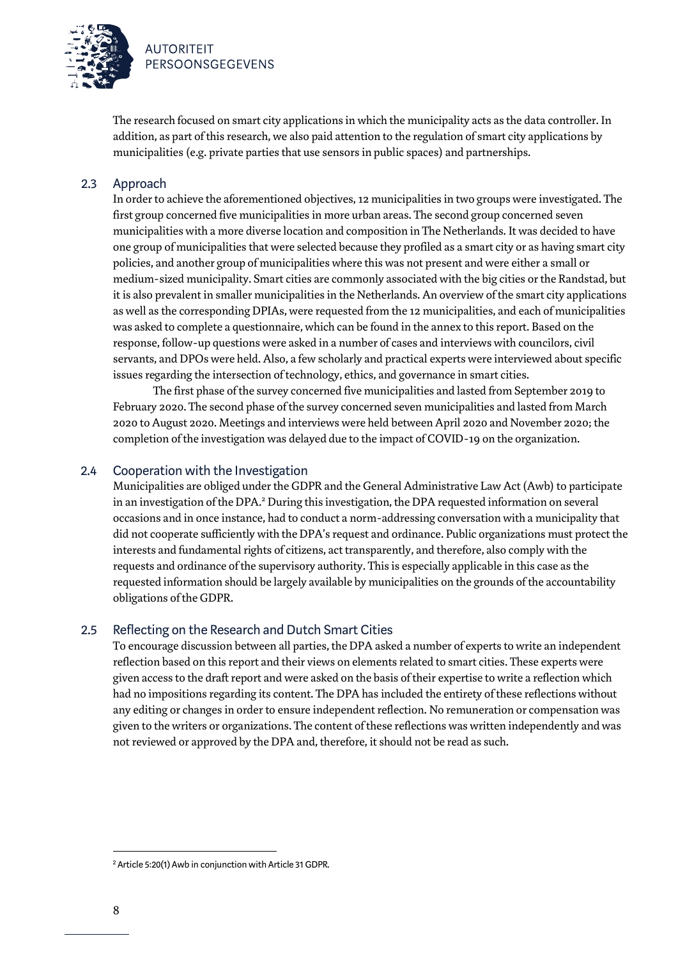

The research focused on smart city applications in which the municipality acts as the data controller. In addition, as part of this research, we also paid attention to the regulation of smart city applications by municipalities (e.g. private parties that use sensors in public spaces) and partnerships.

### 2.3 Approach

In order to achieve the aforementioned objectives, 12 municipalities in two groups were investigated. The first group concerned five municipalities in more urban areas. The second group concerned seven municipalities with a more diverse location and composition in The Netherlands. It was decided to have one group of municipalities that were selected because they profiled as a smart city or as having smart city policies, and another group of municipalities where this was not present and were either a small or medium-sized municipality. Smart cities are commonly associated with the big cities or the Randstad, but it is also prevalent in smaller municipalities in the Netherlands. An overview of the smart city applications as well as the corresponding DPIAs, were requested from the 12 municipalities, and each of municipalities was asked to complete a questionnaire, which can be found in the annex to this report. Based on the response, follow-up questions were asked in a number of cases and interviews with councilors, civil servants, and DPOs were held. Also, a few scholarly and practical experts were interviewed about specific issues regarding the intersection of technology, ethics, and governance in smart cities.

The first phase of the survey concerned five municipalities and lasted from September 2019 to February 2020. The second phase of the survey concerned seven municipalities and lasted from March 2020 to August 2020. Meetings and interviews were held between April 2020 and November 2020; the completion of the investigation was delayed due to the impact of COVID-19 on the organization.

### 2.4 Cooperation with the Investigation

Municipalities are obliged under the GDPR and the General Administrative Law Act (Awb) to participate in an investigation of the DPA. <sup>2</sup> During this investigation, the DPA requested information on several occasions and in once instance, had to conduct a norm-addressing conversation with a municipality that did not cooperate sufficiently with the DPA's request and ordinance. Public organizations must protect the interests and fundamental rights of citizens, act transparently, and therefore, also comply with the requests and ordinance of the supervisory authority. This is especially applicable in this case as the requested information should be largely available by municipalities on the grounds of the accountability obligations of the GDPR.

### 2.5 Reflecting on the Research and Dutch Smart Cities

To encourage discussion between all parties, the DPA asked a number of experts to write an independent reflection based on this report and their views on elements related to smart cities. These experts were given access to the draft report and were asked on the basis of their expertise to write a reflection which had no impositions regarding its content. The DPA has included the entirety of these reflections without any editing or changes in order to ensure independent reflection. No remuneration or compensation was given to the writers or organizations. The content of these reflections was written independently and was not reviewed or approved by the DPA and, therefore, it should not be read as such.

<sup>2</sup> Article 5:20(1) Awb in conjunction with Article 31 GDPR.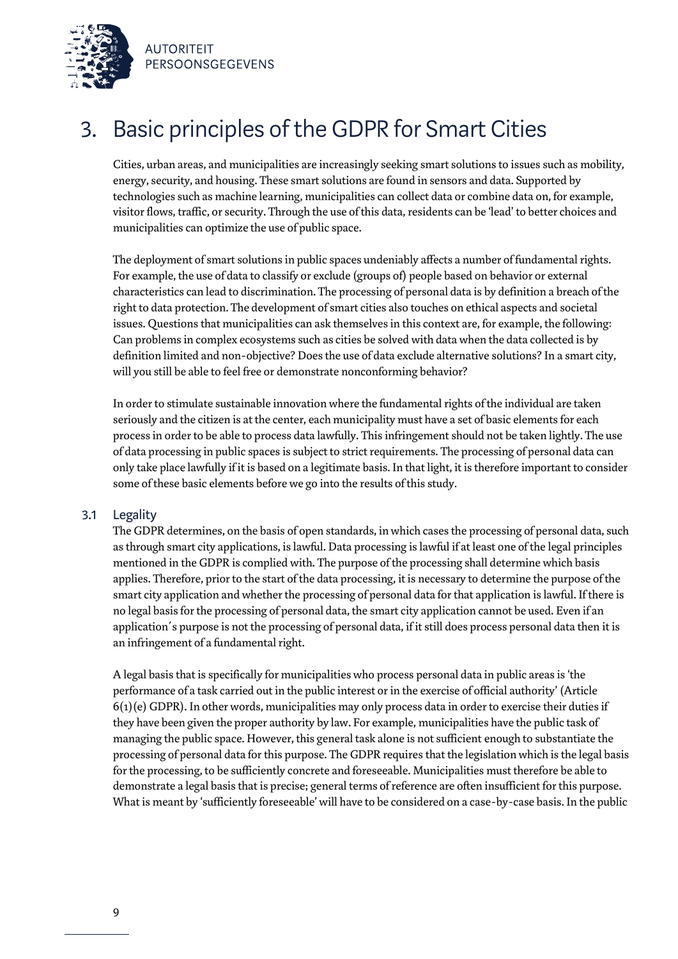

# 3. Basic principles of the GDPR for Smart Cities

Cities, urban areas, and municipalities are increasingly seeking smart solutions to issues such as mobility, energy, security, and housing. These smart solutions are found in sensors and data. Supported by technologies such as machine learning, municipalities can collect data or combine data on, for example, visitor flows, traffic, or security. Through the use of this data, residents can be 'lead' to better choices and municipalities can optimize the use of public space.

The deployment of smart solutions in public spaces undeniably affects a number of fundamental rights. For example, the use of data to classify or exclude (groups of) people based on behavior or external characteristics can lead to discrimination. The processing of personal data is by definition a breach of the right to data protection. The development of smart cities also touches on ethical aspects and societal issues. Questions that municipalities can ask themselves in this context are, for example, the following: Can problems in complex ecosystems such as cities be solved with data when the data collected is by definition limited and non-objective? Does the use of data exclude alternative solutions? In a smart city, will you still be able to feel free or demonstrate nonconforming behavior?

In order to stimulate sustainable innovation where the fundamental rights of the individual are taken seriously and the citizen is at the center, each municipality must have a set of basic elements for each process in order to be able to process data lawfully. This infringement should not be taken lightly. The use of data processing in public spaces is subject to strict requirements. The processing of personal data can only take place lawfully if it is based on a legitimate basis. In that light, it is therefore important to consider some of these basic elements before we go into the results of this study.

### 3.1 Legality

The GDPR determines, on the basis of open standards, in which cases the processing of personal data, such as through smart city applications, is lawful. Data processing is lawful if at least one of the legal principles mentioned in the GDPR is complied with. The purpose of the processing shall determine which basis applies. Therefore, prior to the start of the data processing, it is necessary to determine the purpose of the smart city application and whether the processing of personal data for that application is lawful. If there is no legal basis for the processing of personal data, the smart city application cannot be used. Even if an application´s purpose is not the processing of personal data, if it still does process personal data then it is an infringement of a fundamental right.

A legal basis that is specifically for municipalities who process personal data in public areas is 'the performance of a task carried out in the public interest or in the exercise of official authority' (Article  $6(1)(e)$  GDPR). In other words, municipalities may only process data in order to exercise their duties if they have been given the proper authority by law. For example, municipalities have the public task of managing the public space. However, this general task alone is not sufficient enough to substantiate the processing of personal data for this purpose. The GDPR requires that the legislationwhich is the legal basis for the processing, to be sufficiently concrete and foreseeable. Municipalities must therefore be able to demonstrate a legal basisthat is precise; general terms of reference are often insufficient for this purpose. What is meant by 'sufficiently foreseeable' will have to be considered on a case-by-case basis. In the public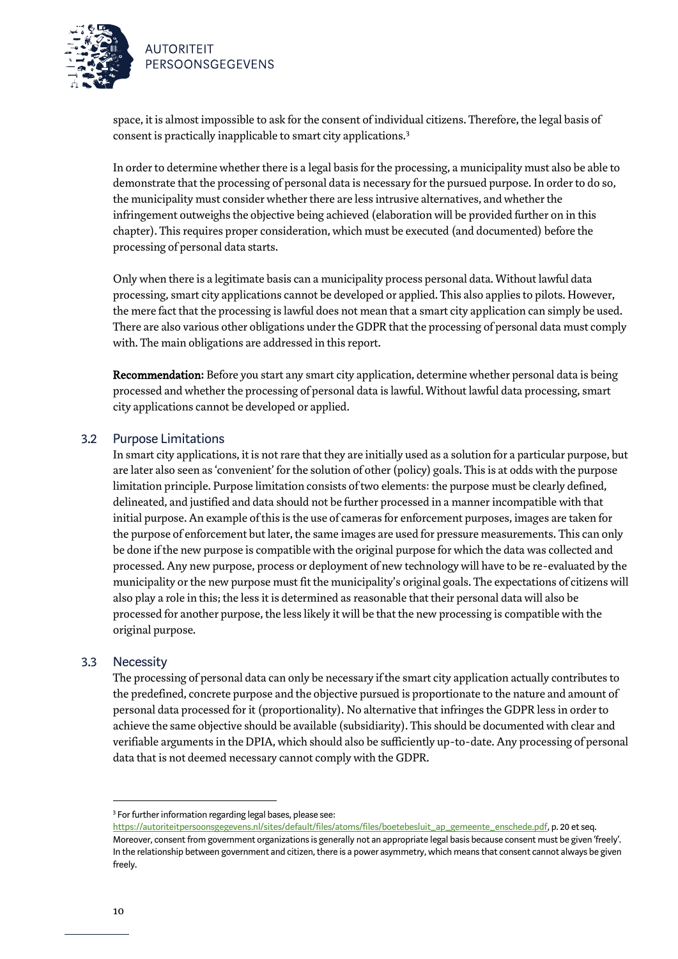

space, it is almost impossible to ask for the consent of individual citizens. Therefore, the legal basis of consent is practically inapplicable to smart city applications.<sup>3</sup>

In order to determine whether there is a legal basis for the processing, a municipality must also be able to demonstrate that the processing of personal data is necessary for the pursued purpose. In order to do so, the municipality must consider whether there are less intrusive alternatives, and whether the infringement outweighs the objective being achieved (elaboration will be provided further on in this chapter). This requires proper consideration, which must be executed (and documented) before the processing of personal data starts.

Only when there is a legitimate basis can a municipality process personal data. Without lawful data processing, smart city applications cannot be developed or applied. This also applies to pilots. However, the mere fact that the processing is lawful does not mean that a smart city application can simply be used. There are also various other obligations under the GDPR that the processing of personal data must comply with. The main obligations are addressed in this report.

Recommendation: Before you start any smart city application, determine whether personal data is being processed and whether the processing of personal data is lawful. Without lawful data processing, smart city applications cannot be developed or applied.

### 3.2 Purpose Limitations

In smart city applications, it is not rare that they are initially used as a solution for a particular purpose, but are later also seen as 'convenient' for the solution of other (policy) goals. This is at odds with the purpose limitation principle. Purpose limitation consists of two elements: the purpose must be clearly defined, delineated, and justified and data should not be further processed in a manner incompatible with that initial purpose. An example of this is the use of cameras for enforcement purposes, images are taken for the purpose of enforcement but later, the same images are used for pressure measurements. This can only be done if the new purpose is compatible with the original purpose for which the data was collected and processed. Any new purpose, process or deployment of new technology will have to be re-evaluated by the municipality or the new purpose must fit the municipality's original goals. The expectations of citizens will also play a role in this; the less it is determined as reasonable that their personal data will also be processed for another purpose, the less likely it will be that the new processing is compatible with the original purpose.

### 3.3 Necessity

The processing of personal data can only be necessary if the smart city application actually contributes to the predefined, concrete purpose and the objective pursued is proportionate to the nature and amount of personal data processed for it (proportionality). No alternative that infringes the GDPR less in order to achieve the same objective should be available (subsidiarity). This should be documented with clear and verifiable arguments in the DPIA, which should also be sufficiently up-to-date. Any processing of personal data that is not deemed necessary cannot comply with the GDPR.

<sup>&</sup>lt;sup>3</sup> For further information regarding legal bases, please see:

[https://autoriteitpersoonsgegevens.nl/sites/default/files/atoms/files/boetebesluit\\_ap\\_gemeente\\_enschede.pdf,](https://autoriteitpersoonsgegevens.nl/sites/default/files/atoms/files/boetebesluit_ap_gemeente_enschede.pdf) p. 20 et seq. Moreover, consent from government organizations is generally not an appropriate legal basis because consent must be given 'freely'. In the relationship between government and citizen, there is a power asymmetry, which means that consent cannot always be given freely.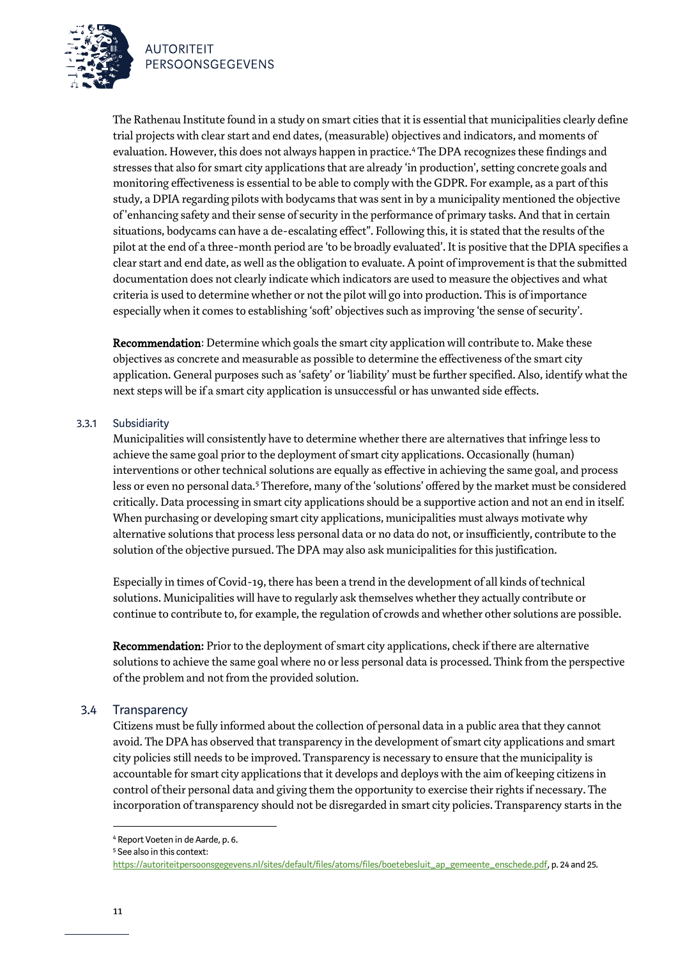



Recommendation: Determine which goals the smart city application will contribute to. Make these objectives as concrete and measurable as possible to determine the effectiveness of the smart city application. General purposes such as 'safety' or 'liability' must be further specified. Also, identify what the next steps will be if a smart city application is unsuccessful or has unwanted side effects.

#### 3.3.1 Subsidiarity

Municipalities will consistently have to determine whether there are alternatives that infringe less to achieve the same goal prior to the deployment of smart city applications. Occasionally (human) interventions or other technical solutions are equally as effective in achieving the same goal, and process less or even no personal data.<sup>5</sup> Therefore, many of the 'solutions' offered by the market must be considered critically. Data processing in smart city applications should be a supportive action and not an end in itself. When purchasing or developing smart city applications, municipalities must always motivate why alternative solutions that process less personal data or no data do not, or insufficiently, contribute to the solution of the objective pursued. The DPA may also ask municipalities for this justification.

Especially in times of Covid-19, there has been a trend in the development of all kinds of technical solutions. Municipalities will have to regularly ask themselves whether they actually contribute or continue to contribute to, for example, the regulation of crowds and whether other solutions are possible.

Recommendation: Prior to the deployment of smart city applications, check if there are alternative solutions to achieve the same goal where no or less personal data is processed. Think from the perspective of the problem and not from the provided solution.

### 3.4 Transparency

Citizens must be fully informed about the collection of personal data in a public area that they cannot avoid. The DPA has observed that transparency in the development of smart city applications and smart city policies still needs to be improved. Transparency is necessary to ensure that the municipality is accountable for smart city applications that it develops and deploys with the aim of keeping citizens in control of their personal data and giving them the opportunity to exercise their rights if necessary. The incorporation of transparency should not be disregarded in smart city policies. Transparency starts in the

<sup>4</sup> Report Voeten in de Aarde, p. 6.

<sup>5</sup> See also in this context:

[https://autoriteitpersoonsgegevens.nl/sites/default/files/atoms/files/boetebesluit\\_ap\\_gemeente\\_enschede.pdf,](https://autoriteitpersoonsgegevens.nl/sites/default/files/atoms/files/boetebesluit_ap_gemeente_enschede.pdf) p. 24 and 25.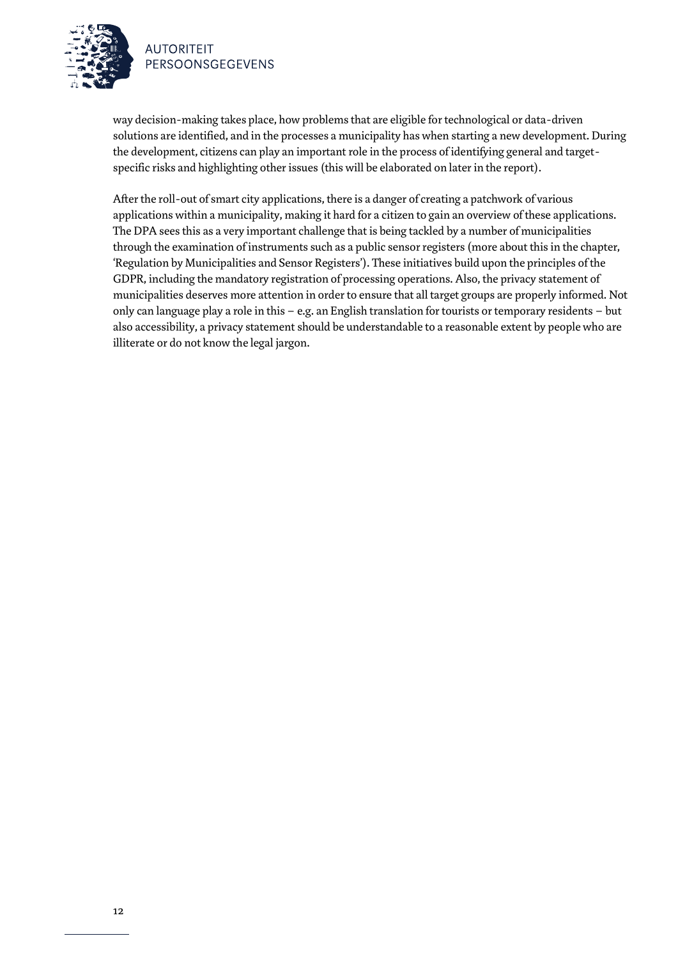

way decision-making takes place, how problems that are eligible for technological or data-driven solutions are identified, and in the processes a municipality has when starting a new development. During the development, citizens can play an important role in the process of identifying general and targetspecific risks and highlighting other issues (this will be elaborated on later in the report).

After the roll-out of smart city applications, there is a danger of creating a patchwork of various applications within a municipality, making it hard for a citizen to gain an overview of these applications. The DPA seesthis as a very important challenge that is being tackled by a number of municipalities through the examination of instruments such as a public sensor registers(more about this in the chapter, 'Regulation by Municipalities and Sensor Registers'). These initiatives build upon the principles of the GDPR, including the mandatory registration of processing operations. Also, the privacy statement of municipalities deserves more attention in order to ensure that all target groups are properly informed. Not only can language play a role in this – e.g. an English translation for tourists or temporary residents – but also accessibility, a privacy statement should be understandable to a reasonable extent by people who are illiterate or do not know the legal jargon.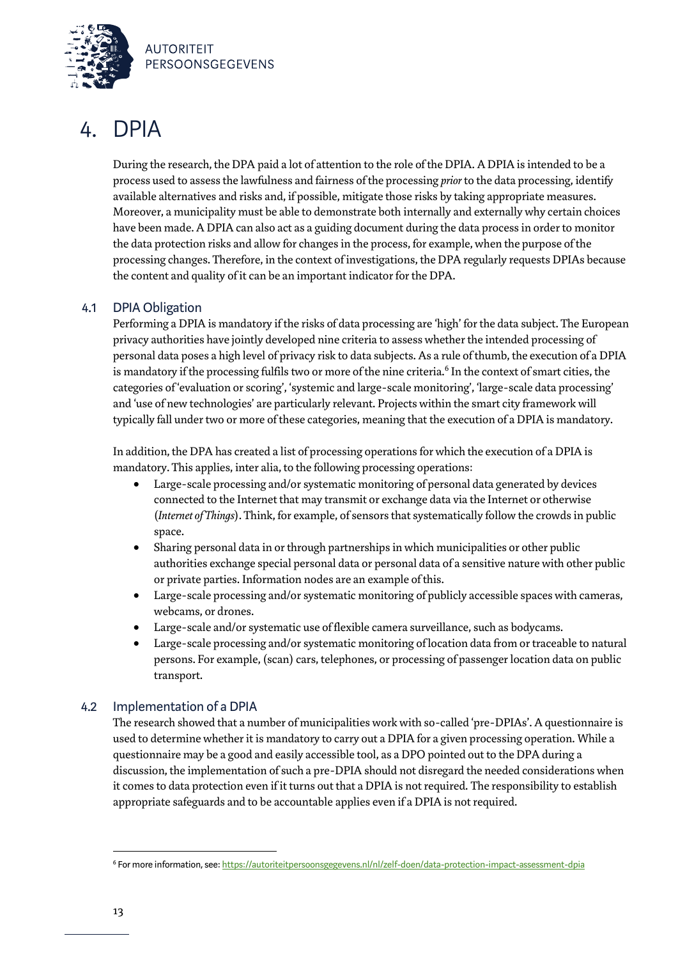

### 4. DPIA

During the research, the DPA paid a lot of attention to the role of the DPIA. A DPIA is intended to be a process used to assess the lawfulness and fairness of the processing *prior* to the data processing, identify available alternatives and risks and, if possible, mitigate those risks by taking appropriate measures. Moreover, a municipality must be able to demonstrate both internally and externally why certain choices have been made. A DPIA can also act as a guiding document during the data process in order to monitor the data protection risks and allow for changes in the process, for example, when the purpose of the processing changes. Therefore, in the context of investigations, the DPA regularly requests DPIAs because the content and quality of it can be an important indicator for the DPA.

### 4.1 DPIA Obligation

Performing a DPIA is mandatory if the risks of data processing are 'high' for the data subject. The European privacy authorities have jointly developed nine criteria to assess whether the intended processing of personal data poses a high level of privacy risk to data subjects. As a rule of thumb, the execution of a DPIA is mandatory if the processing fulfils two or more of the nine criteria.<sup>6</sup> In the context of smart cities, the categories of 'evaluation or scoring', 'systemic and large-scale monitoring', 'large-scale data processing' and 'use of new technologies' are particularly relevant. Projects within the smart city framework will typically fall under two or more of these categories, meaning that the execution of a DPIA is mandatory.

In addition, the DPA has created a list of processing operations for which the execution of a DPIA is mandatory. This applies, inter alia, to the following processing operations:

- Large-scale processing and/or systematic monitoring of personal data generated by devices connected to the Internet that may transmit or exchange data via the Internet or otherwise (*Internet of Things*). Think, for example, of sensors that systematically follow the crowds in public space.
- Sharing personal data in or through partnerships in which municipalities or other public authorities exchange special personal data or personal data of a sensitive nature with other public or private parties. Information nodes are an example of this.
- Large-scale processing and/or systematic monitoring of publicly accessible spaces with cameras, webcams, or drones.
- Large-scale and/or systematic use of flexible camera surveillance, such as bodycams.
- Large-scale processing and/or systematic monitoring of location data from or traceable to natural persons. For example, (scan) cars, telephones, or processing of passenger location data on public transport.

### 4.2 Implementation of a DPIA

The research showed that a number of municipalities work with so-called 'pre-DPIAs'. A questionnaire is used to determine whether it is mandatory to carry out a DPIA for a given processing operation. While a questionnaire may be a good and easily accessible tool, as a DPO pointed out to the DPA during a discussion, the implementation of such a pre-DPIA should not disregard the needed considerations when it comes to data protection even if it turns out that a DPIA is not required. The responsibility to establish appropriate safeguards and to be accountable applies even if a DPIA is not required.

<sup>6</sup> For more information, see[: https://autoriteitpersoonsgegevens.nl/nl/zelf-doen/data-protection-impact-assessment-dpia](https://autoriteitpersoonsgegevens.nl/nl/zelf-doen/data-protection-impact-assessment-dpia)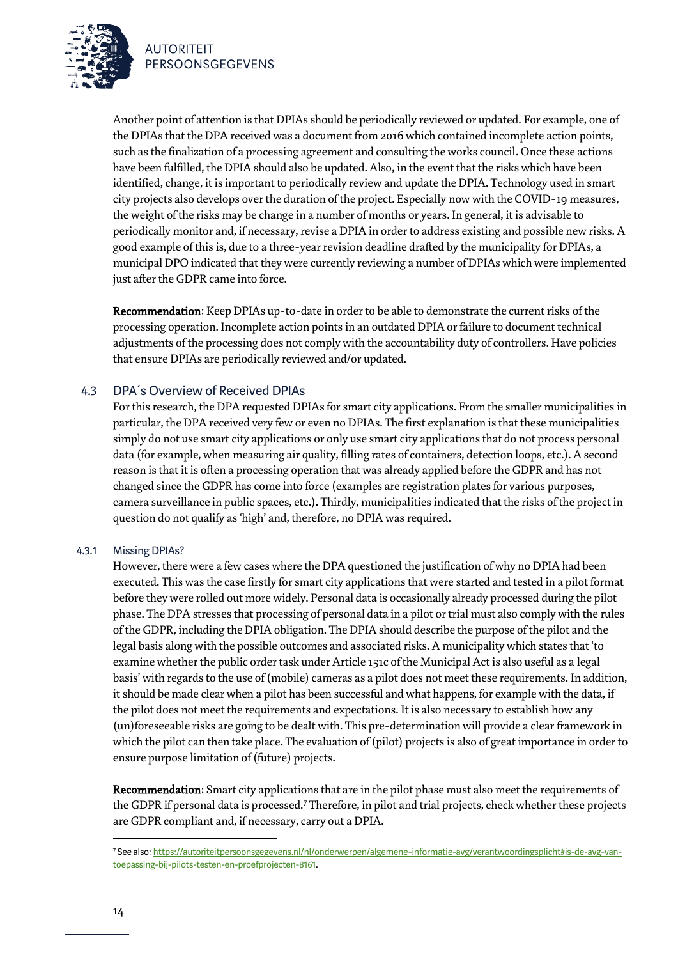

Another point of attention is that DPIAs should be periodically reviewed or updated. For example, one of the DPIAs that the DPA received was a document from 2016 which contained incomplete action points, such as the finalization of a processing agreement and consulting the works council. Once these actions have been fulfilled, the DPIA should also be updated. Also, in the event that the risks which have been identified, change, it is important to periodically review and update the DPIA. Technology used in smart city projects also develops over the duration of the project. Especially now with the COVID-19 measures, the weight of the risks may be change in a number of months or years. In general, it is advisable to periodically monitor and, if necessary, revise a DPIA in order to address existing and possible new risks. A good example of this is, due to a three-year revision deadline drafted by the municipality for DPIAs, a municipal DPO indicated that they were currently reviewing a number of DPIAs which were implemented just after the GDPR came into force.

Recommendation: Keep DPIAs up-to-date in order to be able to demonstrate the current risks of the processing operation. Incomplete action points in an outdated DPIA or failure to document technical adjustments of the processing does not comply with the accountability duty of controllers. Have policies that ensure DPIAs are periodically reviewed and/or updated.

### 4.3 DPA´s Overview of Received DPIAs

For this research, the DPA requested DPIAs for smart city applications. From the smaller municipalities in particular, the DPA received very few or even no DPIAs. The first explanation is that these municipalities simply do not use smart city applications or only use smart city applications that do not process personal data (for example, when measuring air quality, filling rates of containers, detection loops, etc.). A second reason is that it is often a processing operation that was already applied before the GDPR and has not changed since the GDPR has come into force (examples are registration plates for various purposes, camera surveillance in public spaces, etc.). Thirdly, municipalities indicated that the risks of the project in question do not qualify as 'high' and, therefore, no DPIA was required.

#### 4.3.1 Missing DPIAs?

However, there were a few cases where the DPA questioned the justification of why no DPIA had been executed. This wasthe case firstly for smart city applications that were started and tested in a pilot format before they were rolled out more widely. Personal data is occasionally already processed during the pilot phase. The DPA stresses that processing of personal data in a pilot or trial must also comply with the rules of the GDPR, including the DPIA obligation. The DPIA should describe the purpose of the pilot and the legal basis along with the possible outcomes and associated risks. A municipality which states that 'to examine whether the public order task under Article 151c of the Municipal Act is also useful as a legal basis' with regards to the use of (mobile) cameras as a pilot does not meet these requirements. In addition, it should be made clear when a pilot has been successful and what happens, for example with the data, if the pilot does not meet the requirements and expectations. It is also necessary to establish how any (un)foreseeable risks are going to be dealt with. This pre-determination will provide a clear framework in which the pilot can then take place. The evaluation of (pilot) projects is also of great importance in order to ensure purpose limitation of (future) projects.

Recommendation: Smart city applications that are in the pilot phase must also meet the requirements of the GDPR if personal data is processed.<sup>7</sup> Therefore, in pilot and trial projects, check whether these projects are GDPR compliant and, if necessary, carry out a DPIA.

<sup>7</sup> See also[: https://autoriteitpersoonsgegevens.nl/nl/onderwerpen/algemene-informatie-avg/verantwoordingsplicht#is-de-avg-van](https://autoriteitpersoonsgegevens.nl/nl/onderwerpen/algemene-informatie-avg/verantwoordingsplicht#is-de-avg-van-toepassing-bij-pilots-testen-en-proefprojecten-8161)[toepassing-bij-pilots-testen-en-proefprojecten-8161.](https://autoriteitpersoonsgegevens.nl/nl/onderwerpen/algemene-informatie-avg/verantwoordingsplicht#is-de-avg-van-toepassing-bij-pilots-testen-en-proefprojecten-8161)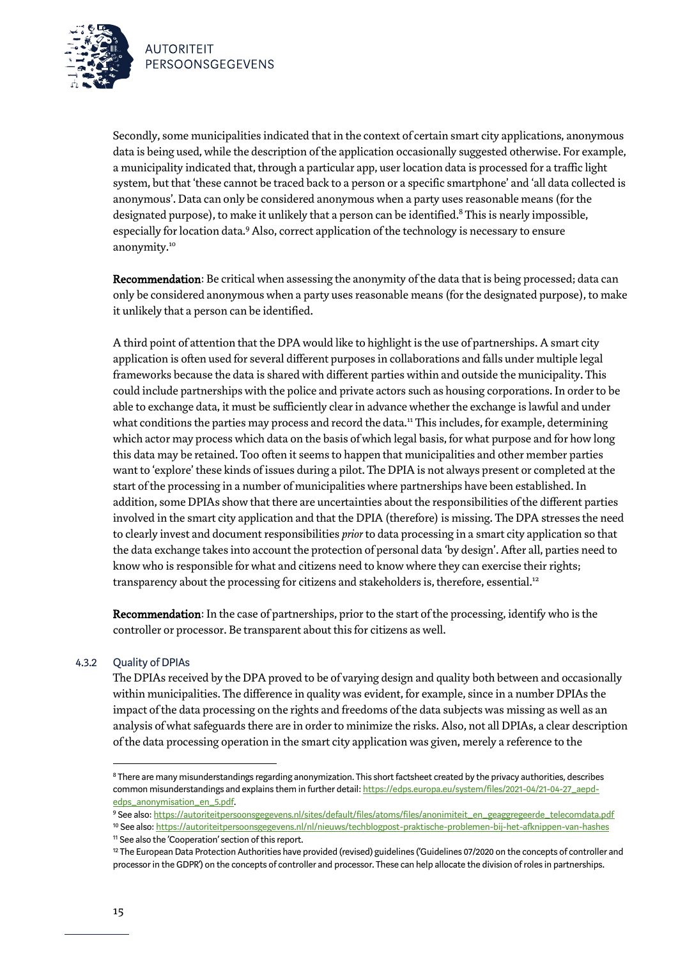

Secondly, some municipalities indicated that in the context of certain smart city applications, anonymous data is being used, while the description of the application occasionally suggested otherwise. For example, a municipality indicated that, through a particular app, user location data is processed for a traffic light system, but that 'these cannot be traced back to a person or a specific smartphone' and 'all data collected is anonymous'. Data can only be considered anonymous when a party uses reasonable means (for the designated purpose), to make it unlikely that a person can be identified. <sup>8</sup> This is nearly impossible, especially for location data.<sup>9</sup> Also, correct application of the technology is necessary to ensure anonymity.<sup>10</sup>

Recommendation: Be critical when assessing the anonymity of the data that is being processed; data can only be considered anonymous when a party uses reasonable means (for the designated purpose), to make it unlikely that a person can be identified.

A third point of attention that the DPA would like to highlight is the use of partnerships. A smart city application is often used for several different purposes in collaborations and falls under multiple legal frameworks because the data is shared with different parties within and outside the municipality. This could include partnerships with the police and private actors such as housing corporations. In order to be able to exchange data, it must be sufficiently clear in advance whether the exchange is lawful and under what conditions the parties may process and record the data.<sup>11</sup> This includes, for example, determining which actor may process which data on the basis of which legal basis, for what purpose and for how long this data may be retained. Too often it seems to happen that municipalities and other member parties want to 'explore' these kinds of issues during a pilot. The DPIA is not always present or completed at the start of the processing in a number of municipalities where partnerships have been established. In addition, some DPIAs show that there are uncertainties about the responsibilities of the different parties involved in the smart city application and that the DPIA (therefore) is missing. The DPA stresses the need to clearly invest and document responsibilities *prior* to data processing in a smart city application so that the data exchange takes into account the protection of personal data 'by design'. After all, parties need to know who is responsible for what and citizens need to know where they can exercise their rights; transparency about the processing for citizens and stakeholders is, therefore, essential.<sup>12</sup>

Recommendation: In the case of partnerships, prior to the start of the processing, identify who is the controller or processor. Be transparent about this for citizens as well.

### 4.3.2 Quality of DPIAs

The DPIAs received by the DPA proved to be of varying design and quality both between and occasionally within municipalities. The difference in quality was evident, for example, since in a number DPIAs the impact of the data processing on the rights and freedoms of the data subjects was missing as well as an analysis of what safeguards there are in order to minimize the risks. Also, not all DPIAs, a clear description of the data processing operation in the smart city application was given, merely a reference to the

<sup>&</sup>lt;sup>8</sup> There are many misunderstandings regarding anonymization. This short factsheet created by the privacy authorities, describes common misunderstandings and explains them in further detail[: https://edps.europa.eu/system/files/2021-04/21-04-27\\_aepd](https://edps.europa.eu/system/files/2021-04/21-04-27_aepd-edps_anonymisation_en_5.pdf)[edps\\_anonymisation\\_en\\_5.pdf.](https://edps.europa.eu/system/files/2021-04/21-04-27_aepd-edps_anonymisation_en_5.pdf) 

<sup>9</sup> See also[: https://autoriteitpersoonsgegevens.nl/sites/default/files/atoms/files/anonimiteit\\_en\\_geaggregeerde\\_telecomdata.pdf](https://autoriteitpersoonsgegevens.nl/sites/default/files/atoms/files/anonimiteit_en_geaggregeerde_telecomdata.pdf)

<sup>10</sup> See also[: https://autoriteitpersoonsgegevens.nl/nl/nieuws/techblogpost-praktische-problemen-bij-het-afknippen-van-hashes](https://autoriteitpersoonsgegevens.nl/nl/nieuws/techblogpost-praktische-problemen-bij-het-afknippen-van-hashes) <sup>11</sup> See also the 'Cooperation' section of this report.

<sup>&</sup>lt;sup>12</sup> The European Data Protection Authorities have provided (revised) guidelines ('Guidelines 07/2020 on the concepts of controller and processor in the GDPR') on the concepts of controller and processor. These can help allocate the division of roles in partnerships.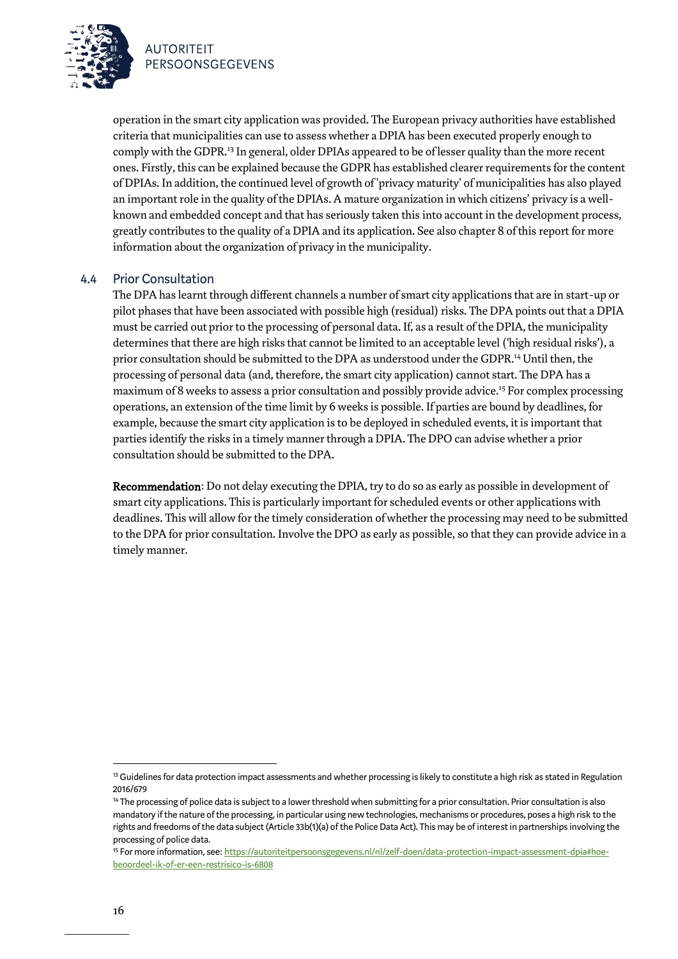

operation in the smart city application was provided. The European privacy authorities have established criteria that municipalities can use to assess whether a DPIA has been executed properly enough to comply with the GDPR.<sup>13</sup> In general, older DPIAs appeared to be of lesser quality than the more recent ones. Firstly, this can be explained because the GDPR has established clearer requirements for the content of DPIAs. In addition, the continued level of growth of 'privacy maturity' of municipalities has also played an important role in the quality of the DPIAs. A mature organization in which citizens' privacy is a wellknown and embedded concept and that has seriously taken this into account in the development process, greatly contributes to the quality of a DPIA and its application. See also chapter 8 of this report for more information about the organization of privacy in the municipality.

### 4.4 Prior Consultation

The DPA has learnt through different channels a number of smart city applications that are in start-up or pilot phases that have been associated with possible high (residual) risks. The DPA points out that a DPIA must be carried out prior to the processing of personal data. If, as a result of the DPIA, the municipality determines that there are high risks that cannot be limited to an acceptable level ('high residual risks'), a prior consultation should be submitted to the DPA as understood under the GDPR.<sup>14</sup> Until then, the processing of personal data (and, therefore, the smart city application) cannot start. The DPA has a maximum of 8 weeks to assess a prior consultation and possibly provide advice. <sup>15</sup> For complex processing operations, an extension of the time limit by 6 weeks is possible. If parties are bound by deadlines, for example, because the smart city application isto be deployed in scheduled events, it is important that parties identify the risks in a timely manner through a DPIA. The DPO can advisewhether a prior consultation should be submitted to the DPA.

Recommendation: Do not delay executing the DPIA, try to do so as early as possible in development of smart city applications. This is particularly important for scheduled events or other applications with deadlines. This will allow for the timely consideration of whether the processing may need to be submitted to the DPA for prior consultation. Involve the DPO as early as possible, so that they can provide advice in a timely manner.

<sup>&</sup>lt;sup>13</sup> Guidelines for data protection impact assessments and whether processing is likely to constitute a high risk as stated in Regulation 2016/679

<sup>&</sup>lt;sup>14</sup> The processing of police data is subject to a lower threshold when submitting for a prior consultation. Prior consultation is also mandatory if the nature of the processing, in particular using new technologies, mechanisms or procedures, poses a high risk to the rights and freedoms of the data subject (Article 33b(1)(a) of the Police Data Act). This may be of interest in partnerships involving the processing of police data.

<sup>15</sup> For more information, see[: https://autoriteitpersoonsgegevens.nl/nl/zelf-doen/data-protection-impact-assessment-dpia#hoe](https://autoriteitpersoonsgegevens.nl/nl/zelf-doen/data-protection-impact-assessment-dpia#hoe-beoordeel-ik-of-er-een-restrisico-is-6808)[beoordeel-ik-of-er-een-restrisico-is-6808](https://autoriteitpersoonsgegevens.nl/nl/zelf-doen/data-protection-impact-assessment-dpia#hoe-beoordeel-ik-of-er-een-restrisico-is-6808)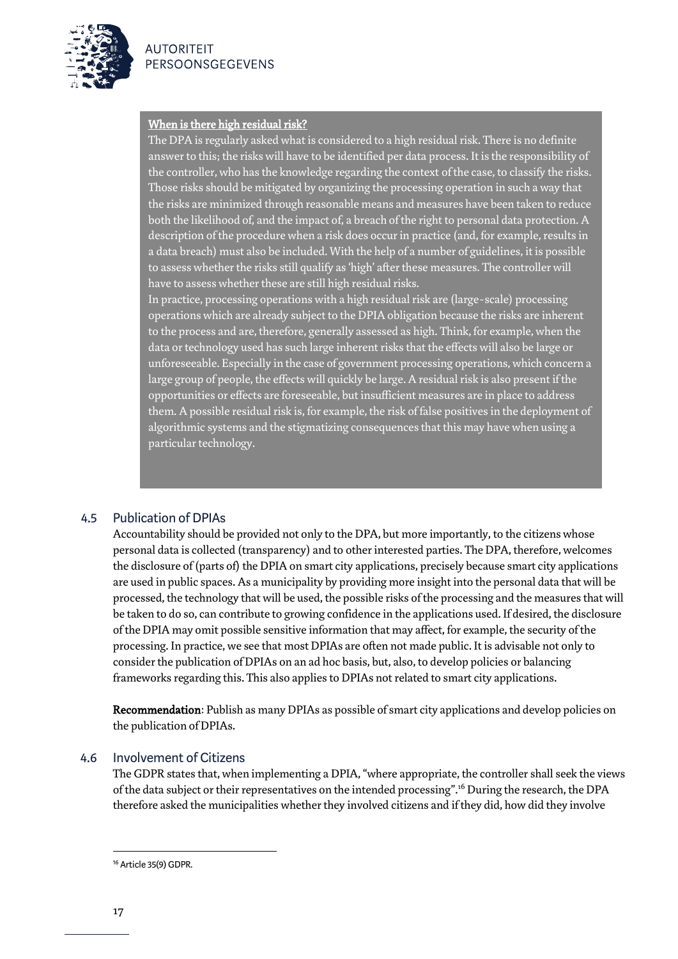



### When is there high residual risk?

The DPA is regularly asked what is considered to a high residual risk. There is no definite answer to this; the risks will have to be identified per data process. It is the responsibility of the controller, who has the knowledge regarding the context of the case, to classify the risks. Those risks should be mitigated by organizing the processing operation in such a way that the risks are minimized through reasonable means and measures have been taken to reduce both the likelihood of, and the impact of, a breach of the right to personal data protection. A description of the procedure when a risk does occur in practice (and, for example, results in a data breach) must also be included. With the help of a number of guidelines, it is possible to assess whether the risks still qualify as 'high' after these measures. The controller will have to assess whether these are still high residual risks.

In practice, processing operations with a high residual risk are (large-scale) processing operations which are already subject to the DPIA obligation because the risks are inherent to the process and are, therefore, generally assessed as high. Think, for example,when the data or technology used has such large inherent risks that the effects will also be large or unforeseeable. Especially in the case of government processing operations, which concern a large group of people, the effects will quickly be large. A residual risk is also present if the opportunities or effects are foreseeable, but insufficient measures are in place to address them. A possible residual risk is, for example, the risk of false positives in the deployment of algorithmic systems and the stigmatizing consequences that this may have when using a particular technology.

### 4.5 Publication of DPIAs

Accountability should be provided not only to the DPA, but more importantly, to the citizens whose personal data is collected (transparency) and to other interested parties. The DPA, therefore, welcomes the disclosure of (parts of) the DPIA on smart city applications, precisely because smart city applications are used in public spaces. As a municipality by providing more insight into the personal data that will be processed, the technology that will be used, the possible risks of the processing and the measuresthat will be taken to do so, can contribute to growing confidence in the applications used. If desired, the disclosure of the DPIA may omit possible sensitive information that may affect, for example, the security of the processing. In practice, we see that most DPIAs are often not made public. It is advisable not only to consider the publication of DPIAs on an ad hoc basis, but, also, to develop policies or balancing frameworks regarding this. This also applies to DPIAs not related to smart city applications.

Recommendation: Publish as many DPIAs as possible of smart city applications and develop policies on the publication of DPIAs.

### 4.6 Involvement of Citizens

The GDPR states that, when implementing a DPIA, "where appropriate, the controller shall seek the views of the data subject or their representatives on the intended processing".<sup>16</sup> During the research, the DPA therefore asked the municipalities whether they involved citizens and if they did, how did they involve

<sup>16</sup> Article 35(9) GDPR.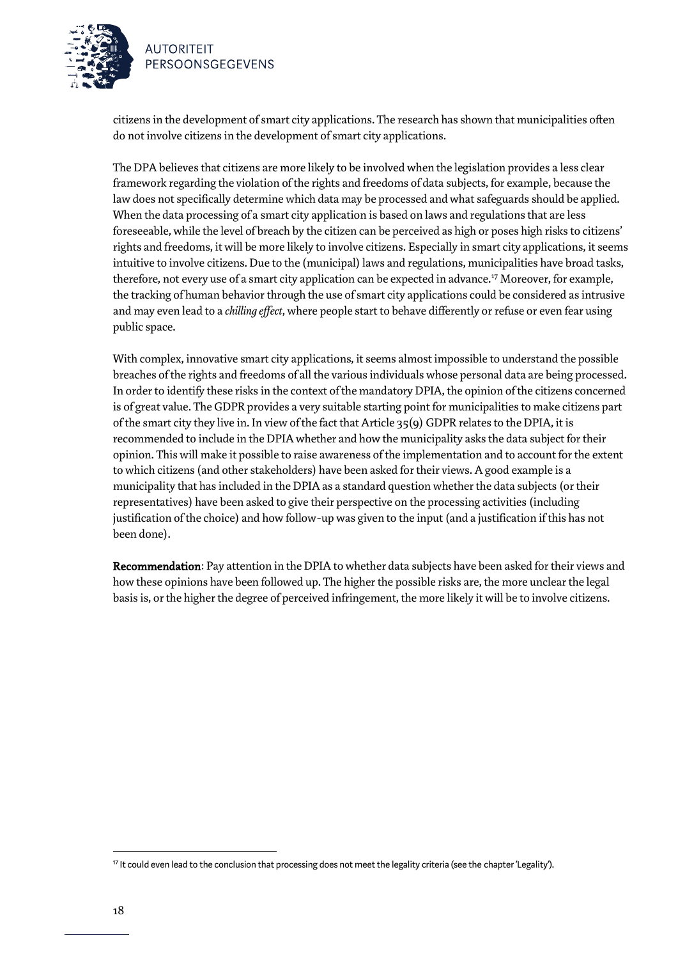

citizens in the development of smart city applications. The research has shown that municipalities often do not involve citizens in the development of smart city applications.

The DPA believes that citizens are more likely to be involved when the legislation provides a less clear framework regarding the violation of the rights and freedoms of data subjects, for example, because the law does not specifically determine which data may be processed and what safeguards should be applied. When the data processing of a smart city application is based on laws and regulations that are less foreseeable, while the level of breach by the citizen can be perceived as high or poses high risks to citizens' rights and freedoms, it will be more likely to involve citizens. Especially in smart city applications, it seems intuitive to involve citizens. Due to the (municipal) laws and regulations, municipalities have broad tasks, therefore, not every use of a smart city application can be expected in advance.<sup>17</sup> Moreover, for example, the tracking of human behavior through the use of smart city applications could be considered as intrusive and may even lead to a *chilling effect*, where people start to behave differently or refuse or even fear using public space.

With complex, innovative smart city applications, it seems almost impossible to understand the possible breaches of the rights and freedoms of all the various individuals whose personal data are being processed. In order to identify these risks in the context of the mandatory DPIA, the opinion of the citizens concerned is of great value. The GDPR provides a very suitable starting point for municipalities to make citizens part of the smart city they live in. In view of the fact that Article 35(9) GDPR relates to the DPIA, it is recommended to include in the DPIA whether and how the municipality asks the data subject for their opinion. This will make it possible to raise awareness of the implementation and to account for the extent to which citizens (and other stakeholders) have been asked for their views. A good example is a municipality that has included in the DPIA as a standard question whether the data subjects (or their representatives) have been asked to give their perspective on the processing activities (including justification of the choice) and how follow-up was given to the input (and a justification if this has not been done).

Recommendation: Pay attention in the DPIA to whether data subjects have been asked for their views and how these opinions have been followed up. The higher the possible risks are, the more unclear the legal basis is, or the higher the degree of perceived infringement, the more likely it will be to involve citizens.

<sup>17</sup> It could even lead to the conclusion that processing does not meet the legality criteria (see the chapter 'Legality').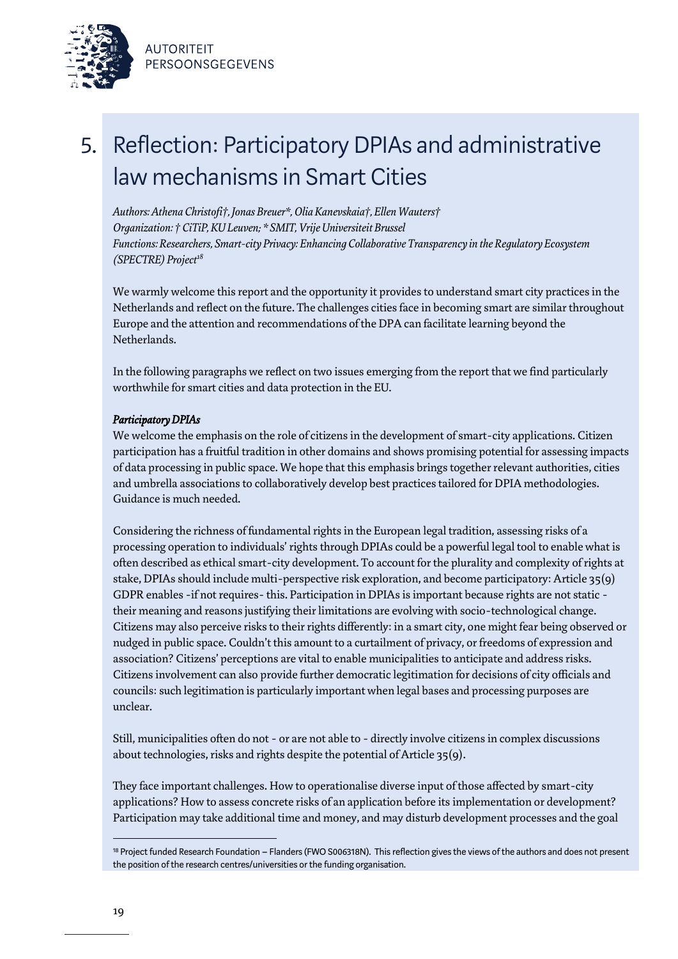



# 5. Reflection: Participatory DPIAs and administrative law mechanisms in Smart Cities

*Authors: Athena Christofi†, Jonas Breuer\*, Olia Kanevskaia†, Ellen Wauters† Organization: † CiTiP, KU Leuven; \* SMIT, Vrije Universiteit Brussel Functions: Researchers, Smart-city Privacy: Enhancing Collaborative Transparency in the Regulatory Ecosystem (SPECTRE) Project<sup>18</sup>*

We warmly welcome this report and the opportunity it provides to understand smart city practices in the Netherlands and reflect on the future. The challenges cities face in becoming smart are similar throughout Europe and the attention and recommendations of the DPA can facilitate learning beyond the Netherlands.

In the following paragraphs we reflect on two issues emerging from the report that we find particularly worthwhile for smart cities and data protection in the EU.

### *Participatory DPIAs*

We welcome the emphasis on the role of citizens in the development of smart-city applications. Citizen participation has a fruitful tradition in other domains and shows promising potential for assessing impacts of data processing in public space. We hope that this emphasis brings together relevant authorities, cities and umbrella associations to collaboratively develop best practices tailored for DPIA methodologies. Guidance is much needed.

Considering the richness of fundamental rights in the European legal tradition, assessing risks of a processing operation to individuals' rights through DPIAs could be a powerful legal tool to enable what is often described as ethical smart-city development. To account for the plurality and complexity of rights at stake, DPIAs should include multi-perspective risk exploration, and become participatory: Article 35(9) GDPR enables -if not requires- this. Participation in DPIAs is important because rights are not static their meaning and reasons justifying their limitations are evolving with socio-technological change. Citizens may also perceive risks to their rights differently: in a smart city, one might fear being observed or nudged in public space. Couldn't this amount to a curtailment of privacy, or freedoms of expression and association? Citizens' perceptions are vital to enable municipalities to anticipate and address risks. Citizens involvement can also provide further democratic legitimation for decisions of city officials and councils: such legitimation is particularly important when legal bases and processing purposes are unclear.

Still, municipalities often do not - or are not able to - directly involve citizens in complex discussions about technologies, risks and rights despite the potential of Article 35(9).

They face important challenges. How to operationalise diverse input of those affected by smart-city applications? How to assess concrete risks of an application before its implementation or development? Participation may take additional time and money, and may disturb development processes and the goal

<sup>18</sup> Project funded Research Foundation – Flanders (FWO S006318N). This reflection gives the views of the authors and does not present the position of the research centres/universities or the funding organisation.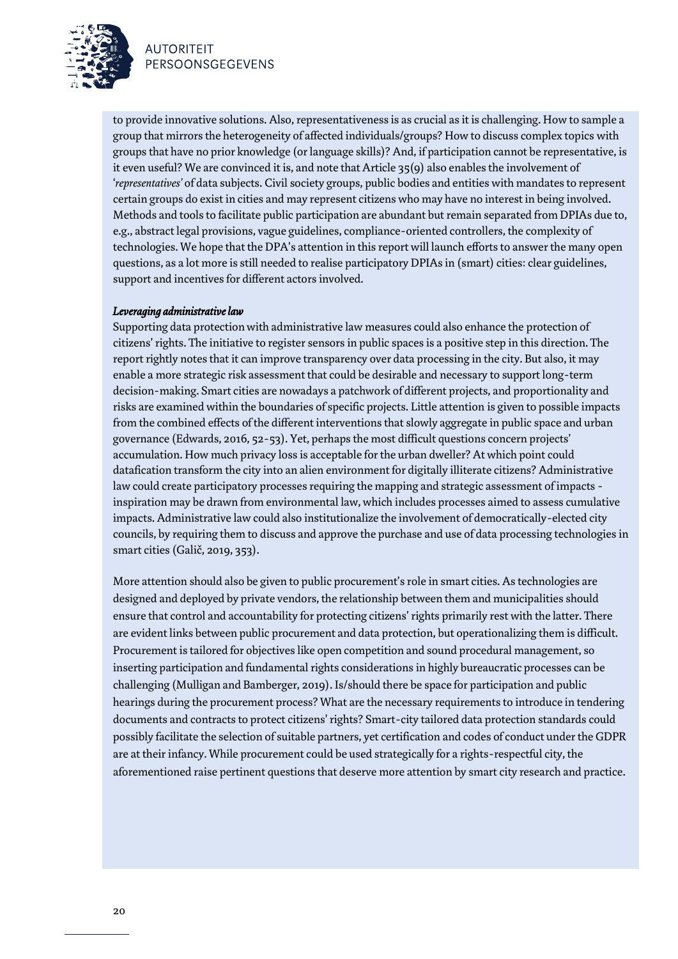

PERSOONSGEGEVENS

to provide innovative solutions. Also, representativeness is as crucial as it is challenging. How to sample a group that mirrors the heterogeneity of affected individuals/groups? How to discuss complex topics with groups that have no prior knowledge (or language skills)? And, if participation cannot be representative, is it even useful? We are convinced it is, and note that Article 35(9) also enables the involvement of '*representatives'* of data subjects. Civil society groups, public bodies and entities with mandates to represent certain groups do exist in cities and may represent citizens who may have no interest in being involved. Methods and tools to facilitate public participation are abundant but remain separated from DPIAs due to, e.g., abstract legal provisions, vague guidelines, compliance-oriented controllers, the complexity of technologies. We hope that the DPA's attention in this report will launch efforts to answer the many open questions, as a lot more is still needed to realise participatory DPIAs in (smart) cities: clear guidelines, support and incentives for different actors involved.

#### *Leveraging administrative law*

Supporting data protection with administrative law measures could also enhance the protection of citizens' rights. The initiative to register sensors in public spaces is a positive step in this direction. The report rightly notes that it can improve transparency over data processing in the city. But also, it may enable a more strategic risk assessment that could be desirable and necessary to support long-term decision-making. Smart cities are nowadays a patchwork of different projects, and proportionality and risks are examined within the boundaries of specific projects. Little attention is given to possible impacts from the combined effects of the different interventions that slowly aggregate in public space and urban governance (Edwards, 2016, 52-53). Yet, perhaps the most difficult questions concern projects' accumulation. How much privacy loss is acceptable for the urban dweller? At which point could datafication transform the city into an alien environment for digitally illiterate citizens? Administrative law could create participatory processes requiring the mapping and strategic assessment of impacts inspiration may be drawn from environmental law, which includes processes aimed to assess cumulative impacts. Administrative law could also institutionalize the involvement of democratically-elected city councils, by requiring them to discuss and approve the purchase and use of data processing technologies in smart cities (Galič, 2019, 353).

More attention should also be given to public procurement's role in smart cities. As technologies are designed and deployed by private vendors, the relationship between them and municipalities should ensure that control and accountability for protecting citizens' rights primarily rest with the latter. There are evident links between public procurement and data protection, but operationalizing them is difficult. Procurement is tailored for objectives like open competition and sound procedural management, so inserting participation and fundamental rights considerations in highly bureaucratic processes can be challenging (Mulligan and Bamberger, 2019). Is/should there be space for participation and public hearings during the procurement process? What are the necessary requirements to introduce in tendering documents and contracts to protect citizens' rights? Smart-city tailored data protection standards could possibly facilitate the selection of suitable partners, yet certification and codes of conduct under the GDPR are at their infancy. While procurement could be used strategically for a rights-respectful city, the aforementioned raise pertinent questions that deserve more attention by smart city research and practice.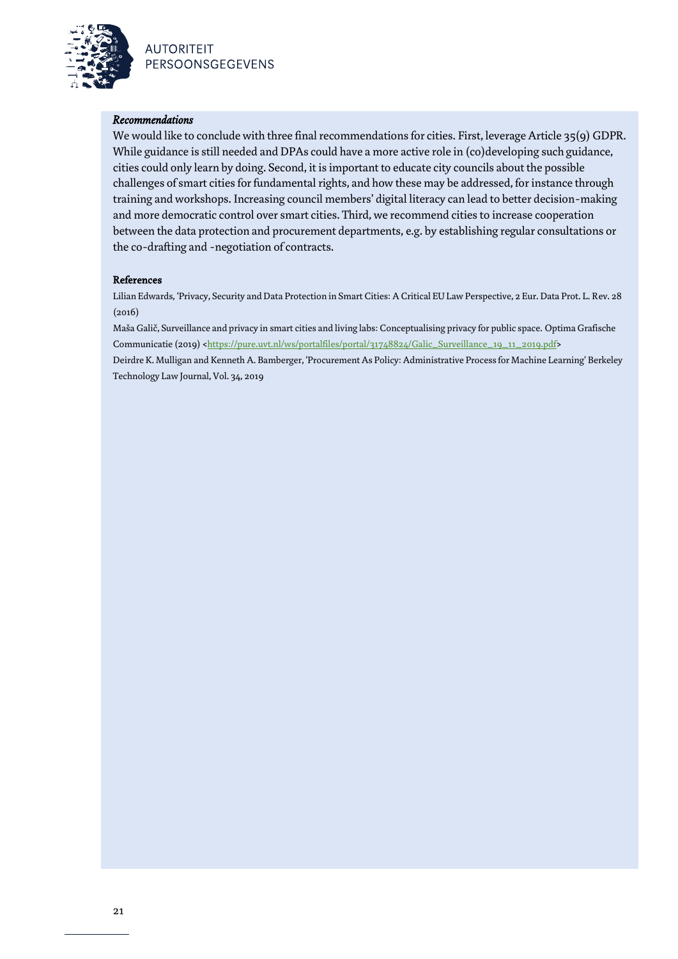

#### *Recommendations*

We would like to conclude with three final recommendations for cities. First, leverage Article 35(9) GDPR. While guidance is still needed and DPAs could have a more active role in (co)developing such guidance, cities could only learn by doing. Second, it is important to educate city councils about the possible challenges of smart cities for fundamental rights, and how these may be addressed, for instance through training and workshops. Increasing council members' digital literacy can lead to better decision-making and more democratic control over smart cities. Third, we recommend cities to increase cooperation between the data protection and procurement departments, e.g. by establishing regular consultations or the co-drafting and -negotiation of contracts.

#### **References**

Lilian Edwards, 'Privacy, Security and Data Protection in Smart Cities: A Critical EU Law Perspective, 2 Eur. Data Prot. L. Rev. 28 (2016)

Maša Galič, Surveillance and privacy in smart cities and living labs: Conceptualising privacy for public space. Optima Grafische Communicatie (2019) [<https://pure.uvt.nl/ws/portalfiles/portal/31748824/Galic\\_Surveillance\\_19\\_11\\_2019.pdf>](https://pure.uvt.nl/ws/portalfiles/portal/31748824/Galic_Surveillance_19_11_2019.pdf)

Deirdre K. Mulligan and Kenneth A. Bamberger, 'Procurement As Policy: Administrative Process for Machine Learning' Berkeley Technology Law Journal, Vol. 34, 2019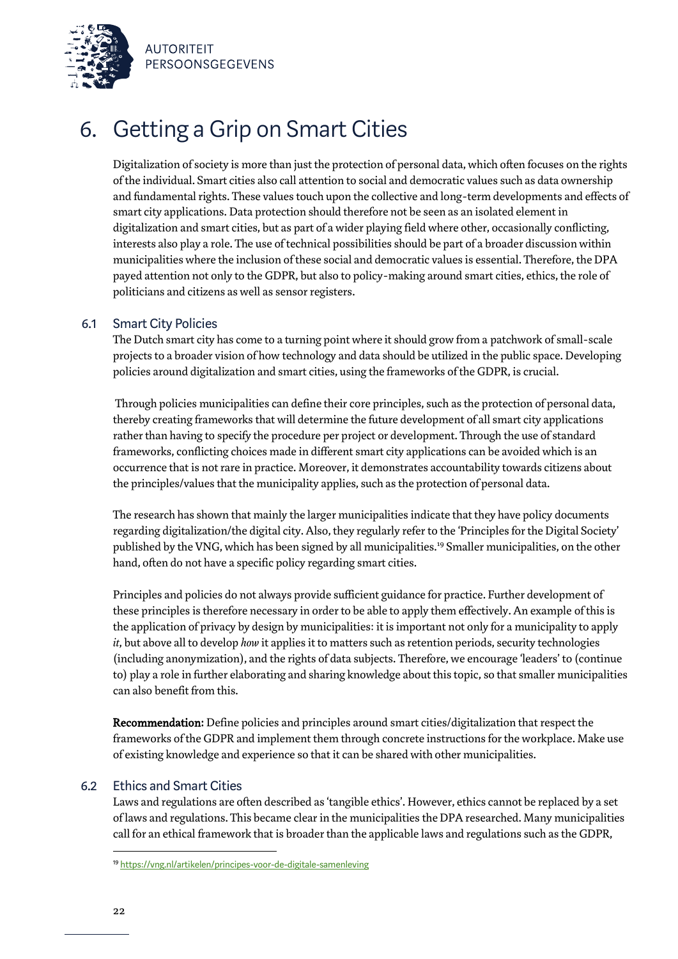

### 6. Getting a Grip on Smart Cities

Digitalization of society is more than just the protection of personal data, which often focuses on the rights of the individual. Smart cities also call attention to social and democratic values such as data ownership and fundamental rights. These values touch upon the collective and long-term developments and effects of smart city applications. Data protection should therefore not be seen as an isolated element in digitalization and smart cities, but as part of a wider playing field where other, occasionally conflicting, interests also play a role. The use of technical possibilities should be part of a broader discussion within municipalities where the inclusion of these social and democratic values is essential. Therefore, the DPA payed attention not only to the GDPR, but also to policy-making around smart cities, ethics, the role of politicians and citizens as well as sensor registers.

### 6.1 Smart City Policies

The Dutch smart city has come to a turning point where it should grow from a patchwork of small-scale projects to a broader vision of how technology and data should be utilized in the public space. Developing policies around digitalization and smart cities, using the frameworks of the GDPR, is crucial.

Through policies municipalities can define their core principles, such as the protection of personal data, thereby creating frameworks that will determine the future development of all smart city applications rather than having to specify the procedure per project or development. Through the use of standard frameworks, conflicting choices made in different smart city applications can be avoided which is an occurrence that is not rare in practice. Moreover, it demonstrates accountability towards citizens about the principles/values that the municipality applies, such as the protection of personal data.

The research has shown that mainly the larger municipalities indicate that they have policy documents regarding digitalization/the digital city. Also, they regularly refer to the 'Principles for the Digital Society' published by the VNG, which has been signed by all municipalities.<sup>19</sup> Smaller municipalities, on the other hand, often do not have a specific policy regarding smart cities.

Principles and policies do not always provide sufficient guidance for practice. Further development of these principles is therefore necessary in order to be able to apply them effectively. An example of this is the application of privacy by design by municipalities: it is important not only for a municipality to apply *it*, but above all to develop *how* it applies it to matters such as retention periods, security technologies (including anonymization), and the rights of data subjects. Therefore, we encourage 'leaders' to (continue to) play a role in further elaborating and sharing knowledge about this topic, so that smaller municipalities can also benefit from this.

Recommendation: Define policies and principles around smart cities/digitalization that respect the frameworks of the GDPR and implement them through concrete instructions for the workplace. Make use of existing knowledge and experience so that it can be shared with other municipalities.

### 6.2 Ethics and Smart Cities

Laws and regulations are often described as 'tangible ethics'. However, ethics cannot be replaced by a set of laws and regulations. This became clear in the municipalities the DPA researched. Many municipalities call for an ethical framework that is broader than the applicable laws and regulations such as the GDPR,

<sup>19</sup> <https://vng.nl/artikelen/principes-voor-de-digitale-samenleving>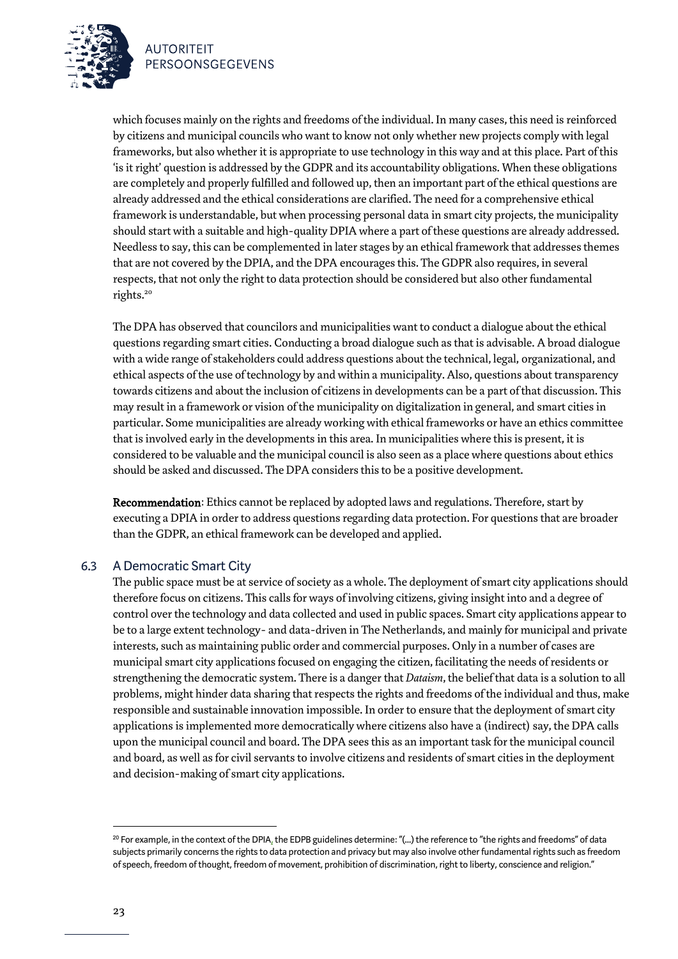

which focuses mainly on the rights and freedoms of the individual. In many cases, this need is reinforced by citizens and municipal councils who want to know not only whether new projects comply with legal frameworks, but also whether it is appropriate to use technology in this way and at this place. Part of this 'is it right' question is addressed by the GDPR and its accountability obligations. When these obligations are completely and properly fulfilled and followed up, then an important part of the ethical questions are already addressed and the ethical considerations are clarified. The need for a comprehensive ethical framework is understandable, but when processing personal data in smart city projects, the municipality should start with a suitable and high-quality DPIA where a part of these questions are already addressed. Needless to say, this can be complemented in later stages by an ethical framework that addresses themes that are not covered by the DPIA, and the DPA encourages this. The GDPR also requires, in several respects, that not only the right to data protection should be considered but also other fundamental rights.<sup>20</sup>

The DPA has observed that councilors and municipalities want to conduct a dialogue about the ethical questions regarding smart cities. Conducting a broad dialogue such asthat is advisable. A broad dialogue with a wide range of stakeholders could address questions about the technical, legal, organizational, and ethical aspects of the use of technology by and within a municipality. Also, questions about transparency towards citizens and about the inclusion of citizens in developments can be a part of that discussion. This may result in a framework or vision of the municipality on digitalization in general, and smart cities in particular. Some municipalities are already working with ethical frameworks or have an ethics committee that is involved early in the developments in this area. In municipalities where this is present, it is considered to be valuable and the municipal council is also seen as a place where questions about ethics should be asked and discussed. The DPA considers this to be a positive development.

Recommendation: Ethics cannot be replaced by adopted laws and regulations. Therefore, start by executing a DPIA in order to address questions regarding data protection. For questions that are broader than the GDPR, an ethical framework can be developed and applied.

### 6.3 A Democratic Smart City

The public space must be at service of society as a whole. The deployment of smart city applications should therefore focus on citizens. This calls for ways of involving citizens, giving insight into and a degree of control over the technology and data collected and used in public spaces. Smart city applications appear to be to a large extent technology- and data-driven in The Netherlands, and mainly for municipal and private interests, such as maintaining public order and commercial purposes. Only in a number of cases are municipal smart city applications focused on engaging the citizen, facilitating the needs of residents or strengthening the democratic system. There is a danger that *Dataism*, the belief that data is a solution to all problems, might hinder data sharing that respects the rights and freedoms of the individual and thus, make responsible and sustainable innovation impossible. In order to ensure that the deployment of smart city applications is implemented more democratically where citizens also have a (indirect) say, the DPA calls upon the municipal council and board. The DPA sees this as an important task for the municipal council and board, as well as for civil servants to involve citizens and residents of smart cities in the deployment and decision-making of smart city applications.

 $^{20}$  For example, in the context of the DPI[A,](https://ec.europa.eu/newsroom/article29/item-detail.cfm?item_id=611236) the EDPB guidelines determine: "(...) the reference to "the rights and freedoms" of data subjects primarily concerns the rights to data protection and privacy but may also involve other fundamental rights such as freedom of speech, freedom of thought, freedom of movement, prohibition of discrimination, right to liberty, conscience and religion."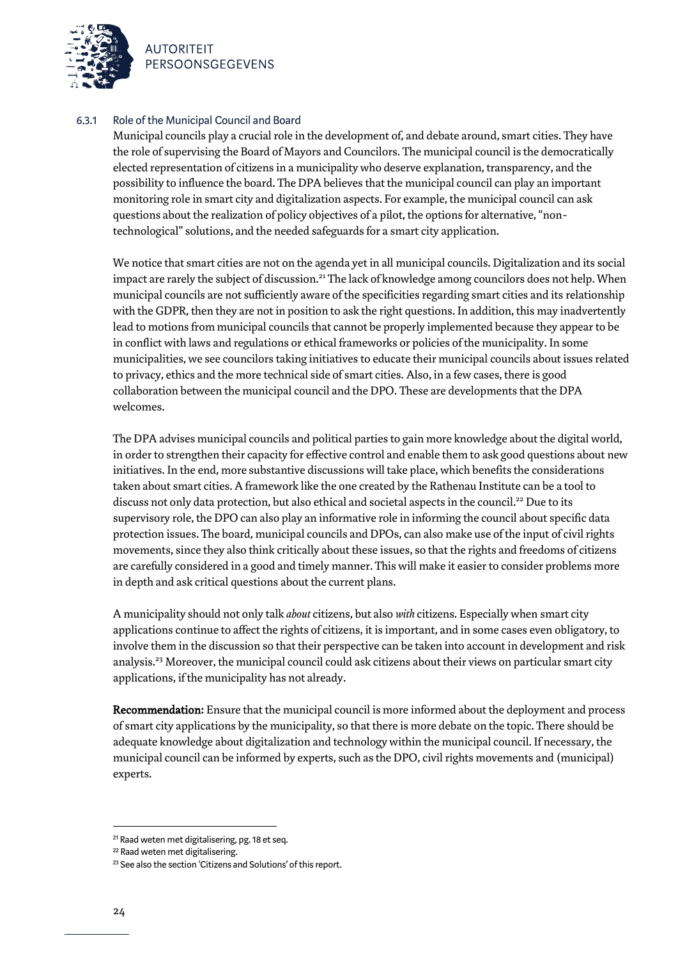

### 6.3.1 Role of the Municipal Council and Board

Municipal councils play a crucial role in the development of, and debate around, smart cities. They have the role of supervising the Board of Mayors and Councilors. The municipal council is the democratically elected representation of citizens in a municipality who deserve explanation, transparency, and the possibility to influence the board. The DPA believes that the municipal council can play an important monitoring role in smart city and digitalization aspects. For example, the municipal council can ask questions about the realization of policy objectives of a pilot, the options for alternative, "nontechnological" solutions, and the needed safeguards for a smart city application.

We notice that smart cities are not on the agenda yet in all municipal councils. Digitalization and its social impact are rarely the subject of discussion.<sup>21</sup> The lack of knowledge among councilors does not help. When municipal councils are not sufficiently aware of the specificities regarding smart cities and its relationship with the GDPR, then they are not in position to ask the right questions. In addition, this may inadvertently lead to motions from municipal councils that cannot be properly implemented because they appear to be in conflict with laws and regulations or ethical frameworks or policies of the municipality. In some municipalities, we see councilors taking initiatives to educate their municipal councils about issues related to privacy, ethics and the more technical side of smart cities. Also, in a few cases, there is good collaboration between the municipal council and the DPO. These are developments that the DPA welcomes.

The DPA advises municipal councils and political parties to gain more knowledge about the digital world, in order to strengthen their capacity for effective control and enable them to ask good questions about new initiatives. In the end, more substantive discussions will take place, which benefits the considerations taken about smart cities. A framework like the one created by the Rathenau Institute can be a tool to discuss not only data protection, but also ethical and societal aspects in the council.<sup>22</sup> Due to its supervisory role, the DPO can also play an informative role in informing the council about specific data protection issues. The board, municipal councils and DPOs, can also make use of the input of civil rights movements, since they also think critically about these issues, so that the rights and freedoms of citizens are carefully considered in a good and timely manner. This will make it easier to consider problems more in depth and ask critical questions about the current plans.

A municipality should not only talk *about* citizens, but also *with* citizens. Especially when smart city applications continue to affect the rights of citizens, it is important, and in some cases even obligatory, to involve them in the discussion so that their perspective can be taken into account in development and risk analysis. <sup>23</sup> Moreover, the municipal council could ask citizens about their views on particular smart city applications, if the municipality has not already.

Recommendation: Ensure that the municipal council is more informed about the deployment and process of smart city applications by the municipality, so that there is more debate on the topic. There should be adequate knowledge about digitalization and technology within the municipal council. If necessary, the municipal council can be informed by experts, such as the DPO, civil rights movements and (municipal) experts.

<sup>21</sup> Raad weten met digitalisering, pg. 18 et seq.

<sup>22</sup> Raad weten met digitalisering.

<sup>&</sup>lt;sup>23</sup> See also the section 'Citizens and Solutions' of this report.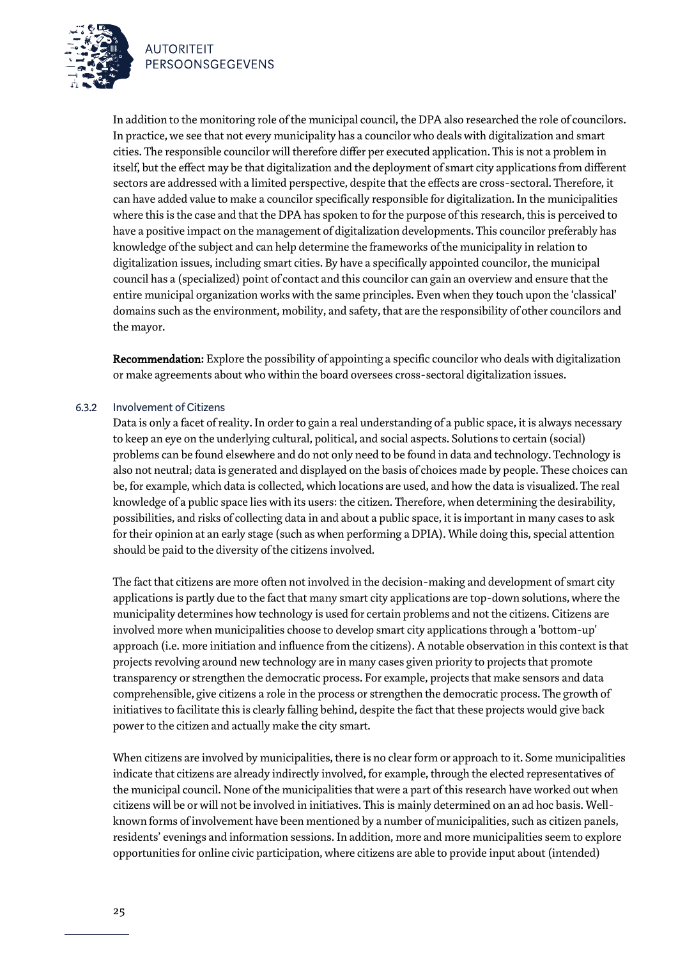



In addition to the monitoring role of the municipal council, the DPA also researched the role of councilors. In practice, we see that not every municipality has a councilor who deals with digitalization and smart cities. The responsible councilor will therefore differ per executed application. This is not a problem in itself, but the effect may be that digitalization and the deployment of smart city applications from different sectors are addressed with a limited perspective, despite that the effects are cross-sectoral. Therefore, it can have added value to make a councilor specifically responsible for digitalization. In the municipalities where this is the case and that the DPA has spoken to for the purpose of this research, this is perceived to have a positive impact on the management of digitalization developments. This councilor preferably has knowledge of the subject and can help determine the frameworks of the municipality in relation to digitalization issues, including smart cities. By have a specifically appointed councilor, the municipal council has a (specialized) point of contact and this councilor can gain an overview and ensure that the entire municipal organization works with the same principles. Even when they touch upon the 'classical' domains such as the environment, mobility, and safety, that are the responsibility of other councilors and the mayor.

Recommendation: Explore the possibility of appointing a specific councilor who deals with digitalization or make agreements about who within the board oversees cross-sectoral digitalization issues.

### 6.3.2 Involvement of Citizens

Data is only a facet of reality. In order to gain a real understanding of a public space, it is always necessary to keep an eye on the underlying cultural, political, and social aspects. Solutions to certain (social) problems can be found elsewhere and do not only need to be found in data and technology. Technology is also not neutral; data is generated and displayed on the basis of choices made by people. These choices can be, for example, which data is collected, which locations are used, and how the data is visualized. The real knowledge of a public space lies with its users: the citizen. Therefore, when determining the desirability, possibilities, and risks of collecting data in and about a public space, it is important in many cases to ask for their opinion at an early stage (such as when performing a DPIA). While doing this, special attention should be paid to the diversity of the citizens involved.

The fact that citizens are more often not involved in the decision-making and development of smart city applications is partly due to the fact that many smart city applications are top-down solutions, where the municipality determines how technology is used for certain problems and not the citizens. Citizens are involved more when municipalities choose to develop smart city applications through a 'bottom-up' approach (i.e. more initiation and influence from the citizens). A notable observation in this context is that projects revolving around new technology are in many cases given priority to projects that promote transparency or strengthen the democratic process. For example, projects that make sensors and data comprehensible, give citizens a role in the process or strengthen the democratic process. The growth of initiatives to facilitate this is clearly falling behind, despite the fact that these projects would give back power to the citizen and actually make the city smart.

When citizens are involved by municipalities, there is no clear form or approach to it. Some municipalities indicate that citizens are already indirectly involved, for example, through the elected representatives of the municipal council. None of the municipalities that were a part of this research have worked out when citizens will be or will not be involved in initiatives. This is mainly determined on an ad hoc basis. Wellknown forms of involvement have been mentioned by a number of municipalities, such as citizen panels, residents' evenings and information sessions. In addition, more and more municipalities seem to explore opportunities for online civic participation, where citizens are able to provide input about (intended)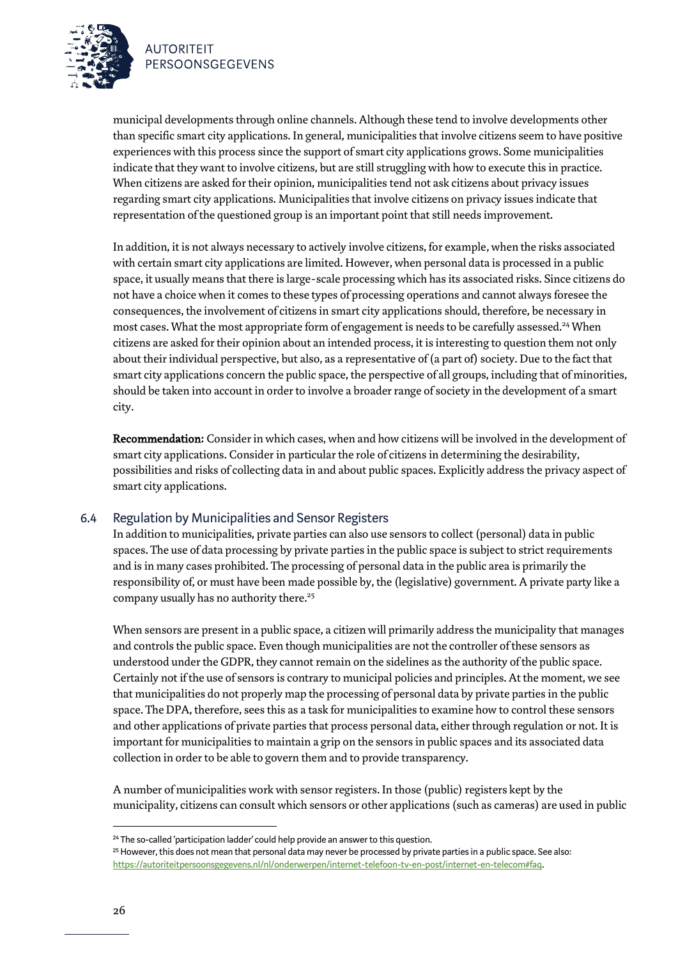



municipal developments through online channels. Although these tend to involve developments other than specific smart city applications. In general, municipalities that involve citizens seem to have positive experiences with this process since the support of smart city applications grows. Some municipalities indicate that they want to involve citizens, but are still struggling with how to execute this in practice. When citizens are asked for their opinion, municipalities tend not ask citizens about privacy issues regarding smart city applications. Municipalities that involve citizens on privacy issues indicate that representation of the questioned group is an important point that still needs improvement.

In addition, it is not always necessary to actively involve citizens, for example, when the risks associated with certain smart city applications are limited. However, when personal data is processed in a public space, it usually means that there is large-scale processing which has its associated risks. Since citizens do not have a choice when it comes to these types of processing operations and cannot always foresee the consequences, the involvement of citizens in smart city applicationsshould, therefore, be necessary in most cases. What the most appropriate form of engagement is needs to be carefully assessed.<sup>24</sup> When citizens are asked for their opinion about an intended process, it is interesting to question them not only about their individual perspective, but also, as a representative of (a part of) society. Due to the fact that smart city applications concern the public space, the perspective of all groups, including that of minorities, should be taken into account in order to involve a broader range of society in the development of a smart city.

Recommendation: Consider in which cases, when and how citizens will be involved in the development of smart city applications. Consider in particular the role of citizens in determining the desirability, possibilities and risks of collecting data in and about public spaces. Explicitly address the privacy aspect of smart city applications.

### 6.4 Regulation by Municipalities and Sensor Registers

In addition to municipalities, private parties can also use sensors to collect (personal) data in public spaces. The use of data processing by private parties in the public space is subject to strict requirements and is in many cases prohibited. The processing of personal data in the public area is primarily the responsibility of, or must have been made possible by, the (legislative) government. A private party like a company usually has no authority there.<sup>25</sup>

When sensors are present in a public space, a citizen will primarily address the municipality that manages and controls the public space. Even though municipalities are not the controller of these sensors as understood under the GDPR, they cannot remain on the sidelines as the authority of the public space. Certainly not if the use of sensors is contrary to municipal policies and principles. At the moment, we see that municipalities do not properly map the processing of personal data by private parties in the public space. The DPA, therefore, sees this as a task for municipalities to examine how to control these sensors and other applications of private parties that process personal data, either through regulation or not. It is important for municipalities to maintain a grip on the sensors in public spaces and its associated data collection in order to be able to govern them and to provide transparency.

A number of municipalities work with sensor registers. In those (public) registers kept by the municipality, citizens can consult which sensors or other applications (such as cameras) are used in public

<sup>&</sup>lt;sup>24</sup> The so-called 'participation ladder' could help provide an answer to this question.

<sup>25</sup> However, this does not mean that personal data may never be processed by private parties in a public space. See also: [https://autoriteitpersoonsgegevens.nl/nl/onderwerpen/internet-telefoon-tv-en-post/internet-en-telecom#faq.](https://autoriteitpersoonsgegevens.nl/nl/onderwerpen/internet-telefoon-tv-en-post/internet-en-telecom#faq)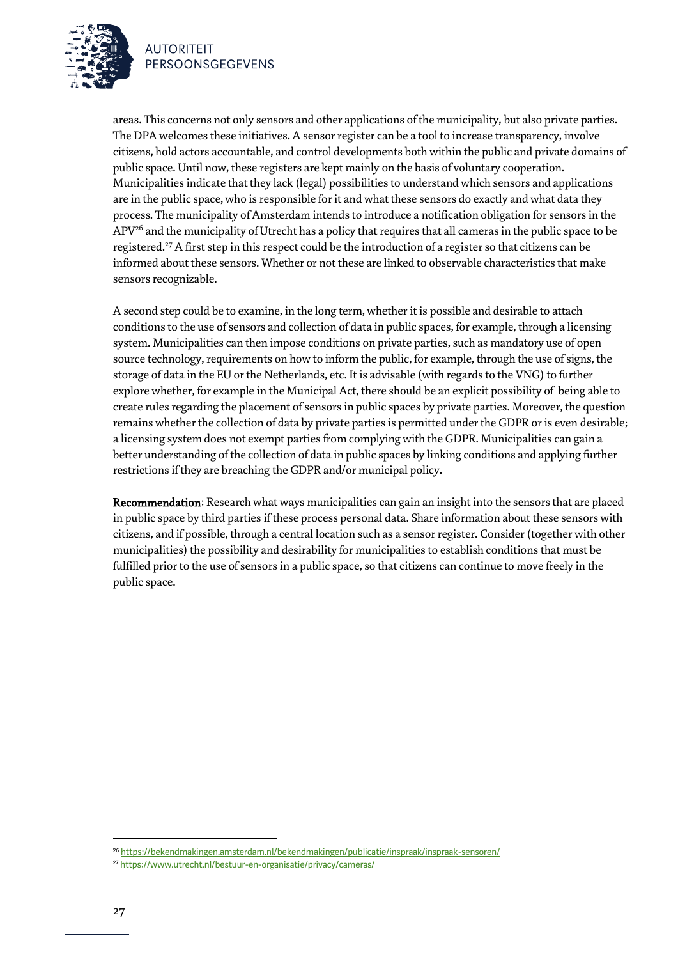

areas. This concerns not only sensors and other applications of the municipality, but also private parties. The DPA welcomes these initiatives. A sensor register can be a tool to increase transparency, involve citizens, hold actors accountable, and control developments both within the public and private domains of public space. Until now, these registers are kept mainly on the basis of voluntary cooperation. Municipalities indicate that they lack (legal) possibilities to understand which sensors and applications are in the public space, who is responsible for it and what these sensors do exactly and what data they process. The municipality of Amsterdam intends to introduce a notification obligation for sensors in the  $APV<sup>26</sup>$  and the municipality of Utrecht has a policy that requires that all cameras in the public space to be registered.<sup>27</sup> A first step in this respect could be the introduction of a register so that citizens can be informed about these sensors. Whether or not these are linked to observable characteristics that make sensors recognizable.

A second step could be to examine, in the long term, whether it is possible and desirable to attach conditions to the use of sensors and collection of data in public spaces, for example, through a licensing system. Municipalities can then impose conditions on private parties, such as mandatory use of open source technology, requirements on how to inform the public, for example, through the use of signs, the storage of data in the EU or the Netherlands, etc. It is advisable (with regards to the VNG) to further explore whether, for example in the Municipal Act, there should be an explicit possibility of being able to create rules regarding the placement of sensors in public spaces by private parties. Moreover, the question remains whether the collection of data by private parties is permitted under the GDPR or is even desirable; a licensing system does not exempt parties from complying with the GDPR. Municipalities can gain a better understanding of the collection of data in public spaces by linking conditions and applying further restrictions if they are breaching the GDPR and/or municipal policy.

Recommendation: Research what ways municipalities can gain an insight into the sensors that are placed in public space by third parties if these process personal data. Share information about these sensors with citizens, and if possible, through a central location such as a sensor register. Consider (together with other municipalities) the possibility and desirability for municipalities to establish conditions that must be fulfilled prior to the use of sensors in a public space, so that citizens can continue to move freely in the public space.

<sup>26</sup> <https://bekendmakingen.amsterdam.nl/bekendmakingen/publicatie/inspraak/inspraak-sensoren/>

<sup>27</sup> <https://www.utrecht.nl/bestuur-en-organisatie/privacy/cameras/>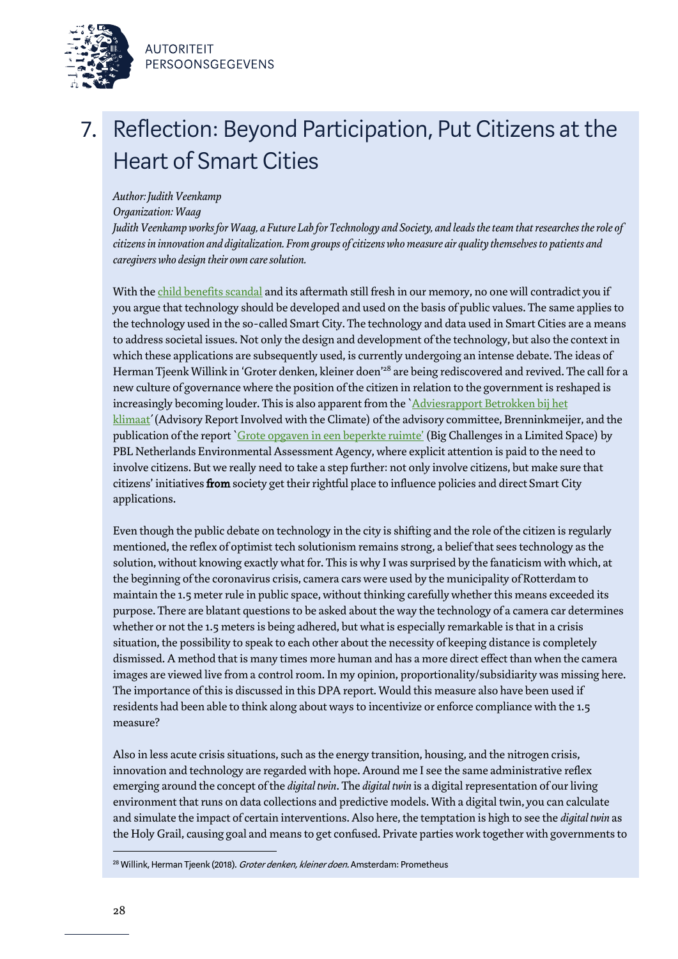



# 7. Reflection: Beyond Participation, Put Citizens at the Heart of Smart Cities

### *Author: Judith Veenkamp*

*Organization: Waag*

*Judith Veenkamp works for Waag, a Future Lab for Technology and Society, and leads the team that researches the role of citizens in innovation and digitalization. From groups of citizens who measure air quality themselves to patients and caregivers who design their own care solution.*

With th[e child benefits scandal](https://www.theguardian.com/world/2021/jan/14/dutch-government-faces-collapse-over-child-benefits-scandal) and its aftermath still fresh in our memory, no one will contradict you if you argue that technology should be developed and used on the basis of public values. The same applies to the technology used in the so-called Smart City. The technology and data used in Smart Cities are a means to address societal issues. Not only the design and development of the technology, but also the context in which these applications are subsequently used, is currently undergoing an intense debate. The ideas of Herman Tjeenk Willink in 'Groter denken, kleiner doen'<sup>28</sup> are being rediscovered and revived. The call for a new culture of governance where the position of the citizen in relation to the government is reshaped is increasingly becoming louder. This is also apparent from the `Adviesrapport [Betrokken bij het](https://www.rijksoverheid.nl/documenten/publicaties/2021/03/21/adviesrapport-betrokken-bij-klimaat) klimaat' (Advisory Report Involved with the Climate) of the advisory committee, Brenninkmeijer, and the publication of the report [`Grote opgaven in een be](https://www.pbl.nl/publicaties/grote-opgaven-in-een-beperkte-ruimte)perkte ruimte' (Big Challenges in a Limited Space) by PBL Netherlands Environmental Assessment Agency, where explicit attention is paid to the need to involve citizens. But we really need to take a step further: not only involve citizens, but make sure that citizens' initiatives from society get their rightful place to influence policies and direct Smart City applications.

Even though the public debate on technology in the city is shifting and the role of the citizen is regularly mentioned, the reflex of optimist tech solutionism remains strong, a belief that sees technology as the solution, without knowing exactly what for. This is why I was surprised by the fanaticism with which, at the beginning of the coronavirus crisis, camera cars were used by the municipality of Rotterdam to maintain the 1.5 meter rule in public space, without thinking carefully whether this means exceeded its purpose. There are blatant questions to be asked about the way the technology of a camera car determines whether or not the 1.5 meters is being adhered, but what is especially remarkable is that in a crisis situation, the possibility to speak to each other about the necessity of keeping distance is completely dismissed. A method that is many times more human and has a more direct effect than when the camera images are viewed live from a control room. In my opinion, proportionality/subsidiarity was missing here. The importance of this is discussed in this DPA report. Would this measure also have been used if residents had been able to think along about ways to incentivize or enforce compliance with the 1.5 measure?

Also in less acute crisis situations, such as the energy transition, housing, and the nitrogen crisis, innovation and technology are regarded with hope. Around me I see the same administrative reflex emerging around the concept of the *digital twin*. The *digital twin* is a digital representation of our living environment that runs on data collections and predictive models. With a digital twin, you can calculate and simulate the impact of certain interventions. Also here, the temptation is high to see the *digital twin* as the Holy Grail, causing goal and means to get confused. Private parties work together with governments to

<sup>&</sup>lt;sup>28</sup> Willink, Herman Tjeenk (2018). Groter denken, kleiner doen. Amsterdam: Prometheus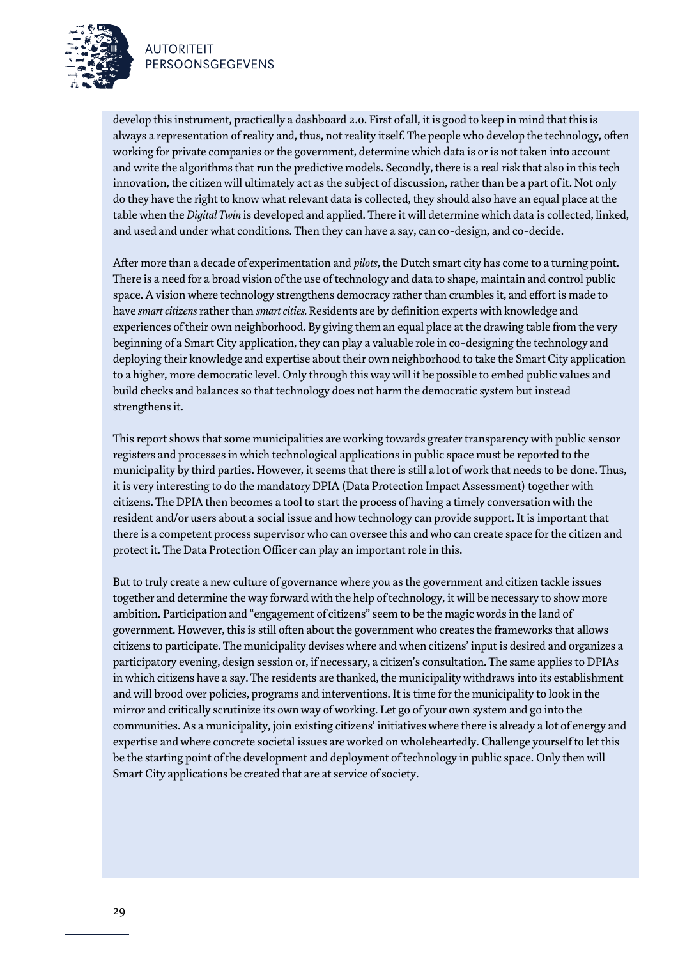

develop this instrument, practically a dashboard 2.0. First of all, it is good to keep in mind that this is always a representation of reality and, thus, not reality itself. The people who develop the technology, often working for private companies or the government, determine which data is or is not taken into account and write the algorithms that run the predictive models. Secondly, there is a real risk that also in this tech innovation, the citizen will ultimately act as the subject of discussion, rather than be a part of it. Not only do they have the right to know what relevant data is collected, they should also have an equal place at the table when the *Digital Twin* is developed and applied. There it will determine which data is collected, linked, and used and under what conditions. Then they can have a say, can co-design, and co-decide.

After more than a decade of experimentation and *pilots*, the Dutch smart city has come to a turning point. There is a need for a broad vision of the use of technology and data to shape, maintain and control public space. A vision where technology strengthens democracy rather than crumbles it, and effort is made to have *smart citizens* rather than *smart cities.* Residents are by definition experts with knowledge and experiences of their own neighborhood. By giving them an equal place at the drawing table from the very beginning of a Smart City application, they can play a valuable role in co-designing the technology and deploying their knowledge and expertise about their own neighborhood to take the Smart City application to a higher, more democratic level. Only through this way will it be possible to embed public values and build checks and balances so that technology does not harm the democratic system but instead strengthens it.

This report shows that some municipalities are working towards greater transparency with public sensor registers and processes in which technological applications in public space must be reported to the municipality by third parties. However, it seems that there is still a lot of work that needs to be done. Thus, it is very interesting to do the mandatory DPIA (Data Protection Impact Assessment) together with citizens. The DPIA then becomes a tool to start the process of having a timely conversation with the resident and/or users about a social issue and how technology can provide support. It is important that there is a competent process supervisor who can oversee this and who can create space for the citizen and protect it. The Data Protection Officer can play an important role in this.

But to truly create a new culture of governance where you as the government and citizen tackle issues together and determine the way forward with the help of technology, it will be necessary to show more ambition. Participation and "engagement of citizens" seem to be the magic words in the land of government. However, this is still often about the government who creates the frameworks that allows citizens to participate. The municipality devises where and when citizens' input is desired and organizes a participatory evening, design session or, if necessary, a citizen's consultation. The same applies to DPIAs in which citizens have a say. The residents are thanked, the municipality withdraws into its establishment and will brood over policies, programs and interventions. It is time for the municipality to look in the mirror and critically scrutinize its own way of working. Let go of your own system and go into the communities. As a municipality, join existing citizens' initiatives where there is already a lot of energy and expertise and where concrete societal issues are worked on wholeheartedly. Challenge yourself to let this be the starting point of the development and deployment of technology in public space. Only then will Smart City applications be created that are at service of society.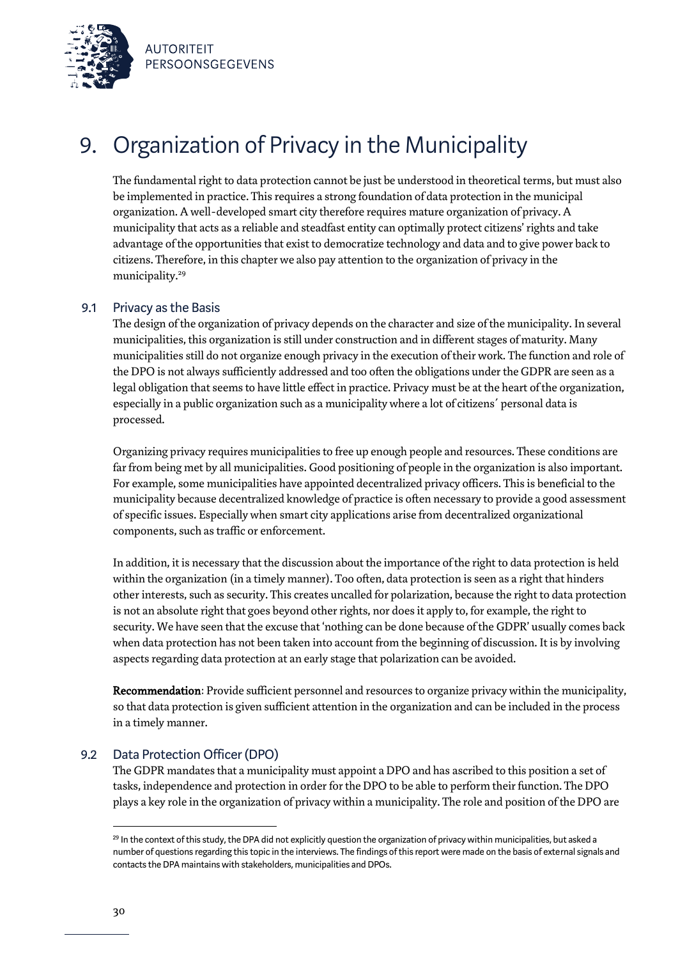



# 9. Organization of Privacy in the Municipality

The fundamental right to data protection cannot be just be understood in theoretical terms, but must also be implemented in practice. This requires a strong foundation of data protection in the municipal organization. A well-developed smart city therefore requires mature organization of privacy. A municipality that acts as a reliable and steadfast entity can optimally protect citizens' rights and take advantage of the opportunities that exist to democratize technology and data and to give power back to citizens. Therefore, in this chapter we also pay attention to the organization of privacy in the municipality.<sup>29</sup>

### 9.1 Privacy as the Basis

The design of the organization of privacy depends on the character and size of the municipality. In several municipalities, this organization is still under construction and in different stages of maturity. Many municipalities still do not organize enough privacy in the execution of their work. The function and role of the DPO is not always sufficiently addressed and too often the obligations under the GDPR are seen as a legal obligation that seems to have little effect in practice. Privacy must be at the heart of the organization, especially in a public organization such as a municipality where a lot of citizens´ personal data is processed.

Organizing privacy requires municipalities to free up enough people and resources. These conditions are far from being met by all municipalities. Good positioning of people in the organization is also important. For example, some municipalities have appointed decentralized privacy officers. This is beneficial to the municipality because decentralized knowledge of practice is often necessary to provide a good assessment of specific issues. Especially when smart city applications arise from decentralized organizational components, such as traffic or enforcement.

In addition, it is necessary that the discussion about the importance of the right to data protection is held within the organization (in a timely manner). Too often, data protection is seen as a right that hinders other interests, such as security. This creates uncalled for polarization, because the right to data protection is not an absolute right that goes beyond other rights, nor does it apply to, for example, the right to security. We have seen that the excuse that 'nothing can be done because of the GDPR' usually comes back when data protection has not been taken into account from the beginning of discussion. It is by involving aspects regarding data protection at an early stage that polarization can be avoided.

Recommendation: Provide sufficient personnel and resources to organize privacy within the municipality, so that data protection is given sufficient attention in the organization and can be included in the process in a timely manner.

### 9.2 Data Protection Officer (DPO)

The GDPR mandates that a municipality must appoint a DPO and has ascribed to this position a set of tasks, independence and protection in order for the DPO to be able to perform their function. The DPO plays a key role in the organization of privacy within a municipality. The role and position of the DPO are

<sup>&</sup>lt;sup>29</sup> In the context of this study, the DPA did not explicitly question the organization of privacy within municipalities, but asked a number of questions regarding this topic in the interviews. The findings of this report were made on the basis of external signals and contacts the DPA maintains with stakeholders, municipalities and DPOs.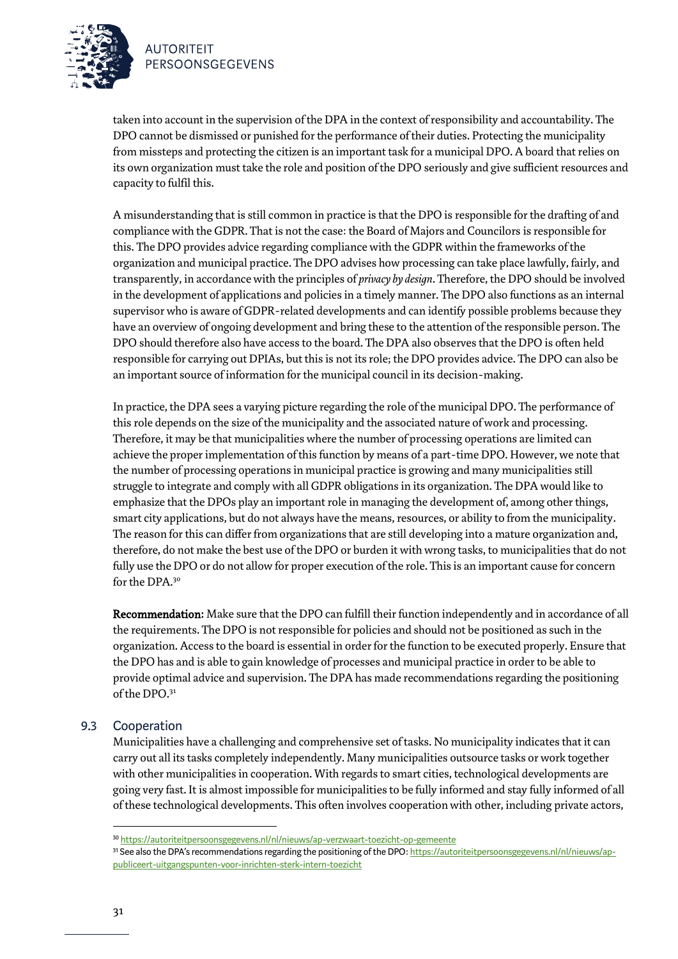

taken into account in the supervision of the DPA in the context of responsibility and accountability. The DPO cannot be dismissed or punished for the performance of their duties. Protecting the municipality from missteps and protecting the citizen is an important task for a municipal DPO. A board that relies on its own organization must take the role and position of the DPO seriously and give sufficient resources and capacity to fulfil this.

A misunderstanding that is still common in practice is that the DPO is responsible for the drafting of and compliancewith the GDPR. That is not the case: the Board of Majors and Councilors is responsible for this. The DPO provides advice regarding compliance with the GDPR within the frameworks of the organization and municipal practice. The DPO advises how processing can take place lawfully, fairly, and transparently, in accordance with the principles of *privacy by design*. Therefore, the DPO should be involved in the development of applications and policies in a timely manner. The DPO also functions as an internal supervisor who is aware of GDPR-related developments and can identify possible problems because they have an overview of ongoing development and bring these to the attention of the responsible person. The DPO should therefore also have access to the board. The DPA also observes that the DPO is often held responsible for carrying out DPIAs, but this is not its role; the DPO provides advice. The DPO can also be an important source of information for the municipal council in its decision-making.

In practice, the DPA sees a varying picture regarding the role of the municipal DPO. The performance of this role depends on the size of the municipality and the associated nature of work and processing. Therefore, it may be that municipalities where the number of processing operations are limited can achieve the proper implementation of this function by means of a part-time DPO. However, we note that the number of processing operations in municipal practice is growing and many municipalities still struggle to integrate and comply with all GDPR obligations in its organization. The DPA would like to emphasize that the DPOs play an important role in managing the development of, among other things, smart city applications, but do not always have the means, resources, or ability to from the municipality. The reason for this can differ from organizations that are still developing into a mature organization and, therefore, do not make the best use of the DPO or burden it with wrong tasks, to municipalities that do not fully use the DPO or do not allow for proper execution of the role. This is an important cause for concern for the DPA.<sup>30</sup>

Recommendation: Make sure that the DPO can fulfill their function independently and in accordance of all the requirements. The DPO is not responsible for policies and should not be positioned as such in the organization. Access to the board is essential in order for the function to be executed properly. Ensure that the DPO has and is able to gain knowledge of processes and municipal practice in order to be able to provide optimal advice and supervision. The DPA has made recommendations regarding the positioning of the DPO. 31

### 9.3 Cooperation

Municipalities have a challenging and comprehensive set of tasks. No municipality indicates that it can carry out all its tasks completely independently. Many municipalities outsource tasks or work together with other municipalities in cooperation. With regards to smart cities, technological developments are going very fast. It is almost impossible for municipalities to be fully informed and stay fully informed of all of these technological developments. This often involves cooperation with other, including private actors,

<sup>30</sup> <https://autoriteitpersoonsgegevens.nl/nl/nieuws/ap-verzwaart-toezicht-op-gemeente>

<sup>&</sup>lt;sup>31</sup> See also the DPA's recommendations regarding the positioning of the DPO[: https://autoriteitpersoonsgegevens.nl/nl/nieuws/ap](https://autoriteitpersoonsgegevens.nl/nl/nieuws/ap-publiceert-uitgangspunten-voor-inrichten-sterk-intern-toezicht)[publiceert-uitgangspunten-voor-inrichten-sterk-intern-toezicht](https://autoriteitpersoonsgegevens.nl/nl/nieuws/ap-publiceert-uitgangspunten-voor-inrichten-sterk-intern-toezicht)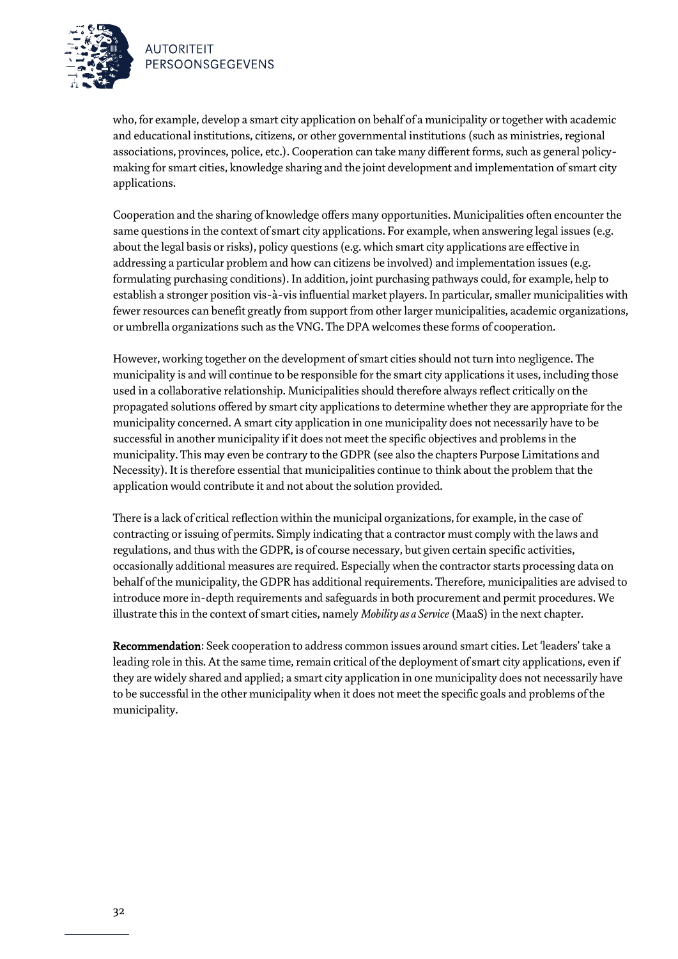

who, for example, develop a smart city application on behalf of a municipality or together with academic and educational institutions, citizens, or other governmental institutions (such as ministries, regional associations, provinces, police, etc.). Cooperation can take many different forms, such as general policymaking for smart cities, knowledge sharing and the joint development and implementation of smart city applications.

Cooperation and the sharing of knowledge offers many opportunities. Municipalities often encounter the same questions in the context of smart city applications. For example, when answering legal issues (e.g. about the legal basis or risks), policy questions (e.g. which smart city applications are effective in addressing a particular problem and how can citizens be involved) and implementation issues (e.g. formulating purchasing conditions). In addition, joint purchasing pathways could, for example, help to establish a stronger position vis-à-vis influential market players. In particular, smaller municipalities with fewer resources can benefit greatly from support from other larger municipalities, academic organizations, or umbrella organizations such as the VNG. The DPA welcomes these forms of cooperation.

However, working together on the development of smart cities should not turn into negligence. The municipality is and will continue to be responsible for the smart city applications it uses, including those used in a collaborative relationship. Municipalities should therefore always reflect critically on the propagated solutions offered by smart city applications to determine whether they are appropriate for the municipality concerned. A smart city application in one municipality does not necessarily have to be successful in another municipality if it does not meet the specific objectives and problems in the municipality. This may even be contrary to the GDPR (see also the chapters Purpose Limitations and Necessity). It is therefore essential that municipalities continue to think about the problem that the application would contribute it and not about the solution provided.

There is a lack of critical reflection within the municipal organizations, for example, in the case of contracting or issuing of permits. Simply indicating that a contractor must comply with the laws and regulations, and thus with the GDPR, is of course necessary, but given certain specific activities, occasionally additional measures are required. Especially when the contractor starts processing data on behalf of the municipality, the GDPR has additional requirements. Therefore, municipalities are advised to introduce more in-depth requirements and safeguards in both procurement and permit procedures. We illustrate this in the context of smart cities, namely *Mobility as a Service* (MaaS) in the next chapter.

Recommendation: Seek cooperation to address common issues around smart cities. Let 'leaders' take a leading role in this. At the same time, remain critical of the deployment of smart city applications, even if they are widely shared and applied; a smart city application in one municipality does not necessarily have to be successful in the other municipality when it does not meet the specific goals and problems of the municipality.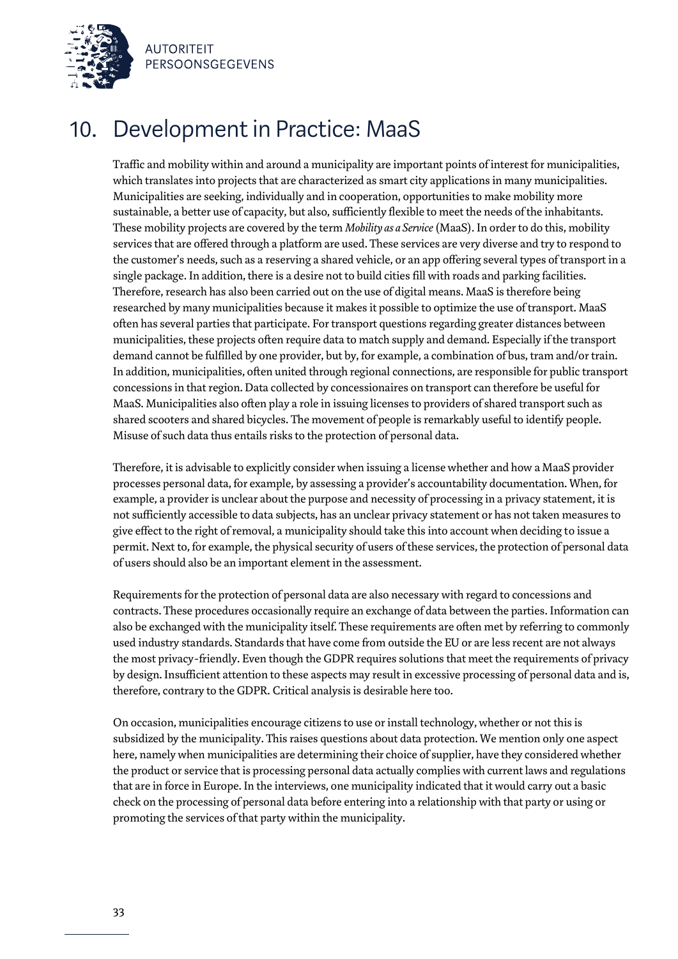

### 10. Development in Practice: MaaS

Traffic and mobility within and around a municipality are important points of interest for municipalities, which translates into projects that are characterized as smart city applications in many municipalities. Municipalities are seeking, individually and in cooperation, opportunities to make mobility more sustainable, a better use of capacity, but also, sufficiently flexible to meet the needs of the inhabitants. These mobility projects are covered by the term *Mobility as a Service* (MaaS). In order to do this, mobility services that are offered through a platform are used. These services are very diverse and try to respond to the customer's needs, such as a reserving a shared vehicle, or an app offering several types of transport in a single package. In addition, there is a desire not to build cities fill with roads and parking facilities. Therefore, research has also been carried out on the use of digital means. MaaS is therefore being researched by many municipalities because it makes it possible to optimize the use of transport. MaaS often has several parties that participate. For transport questions regarding greater distances between municipalities, these projects often require data to match supply and demand. Especially if the transport demand cannot be fulfilled by one provider, but by, for example, a combination of bus, tram and/or train. In addition, municipalities, often united through regional connections, are responsible for public transport concessions in that region. Data collected by concessionaires on transport can therefore be useful for MaaS. Municipalities also often play a role in issuing licensesto providers of shared transport such as shared scooters and shared bicycles. The movement of people is remarkably useful to identify people. Misuse of such data thus entails risks to the protection of personal data.

Therefore, it is advisable to explicitly consider when issuing a licensewhether and how a MaaS provider processes personal data, for example, by assessing a provider's accountability documentation. When, for example, a provider is unclear about the purpose and necessity of processing in a privacy statement, it is not sufficiently accessible to data subjects, has an unclear privacy statement or has not taken measures to give effect to the right of removal, a municipality should take this into account when deciding to issue a permit. Next to, for example, the physical security of users of these services, the protection of personal data of users should also be an important element in the assessment.

Requirements for the protection of personal data are also necessary with regard to concessions and contracts. These procedures occasionally require an exchange of data between the parties. Information can also be exchanged with the municipality itself. These requirements are often met by referring to commonly used industry standards. Standards that have come from outside the EU or are less recent are not always the most privacy-friendly. Even though the GDPR requires solutions that meet the requirements of privacy by design. Insufficient attention to these aspects may result in excessive processing of personal data and is, therefore, contrary to the GDPR. Critical analysis is desirable here too.

On occasion, municipalities encourage citizens to use or install technology, whether or not this is subsidized by the municipality. This raises questions about data protection. We mention only one aspect here, namelywhen municipalities are determining their choice of supplier, have they considered whether the product or service that is processing personal data actually complies with current laws and regulations that are in force in Europe. In the interviews, one municipality indicated that it would carry out a basic check on the processing of personal data before entering into a relationship with that party or using or promoting the services of that party within the municipality.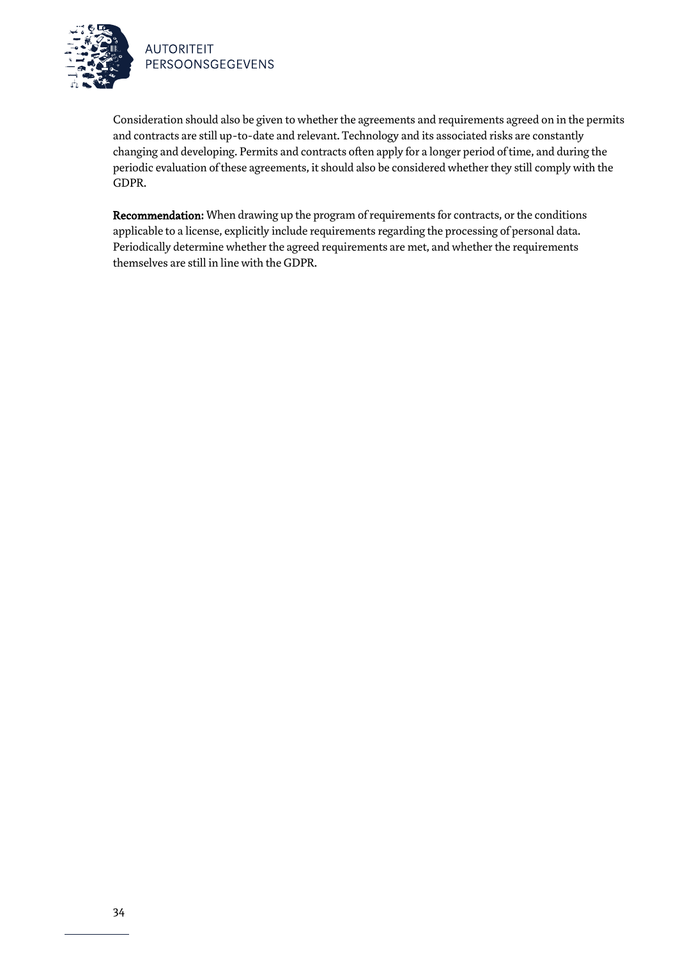

Consideration should also be given to whether the agreements and requirements agreed on in the permits and contracts are still up-to-date and relevant. Technology and its associated risks are constantly changing and developing. Permits and contracts often apply for a longer period of time, and during the periodic evaluation of these agreements, it should also be considered whether they still comply with the GDPR.

Recommendation: When drawing up the program of requirements for contracts, or the conditions applicable to a license, explicitly include requirements regarding the processing of personal data. Periodically determine whether the agreed requirements are met, and whether the requirements themselves are still in line with the GDPR.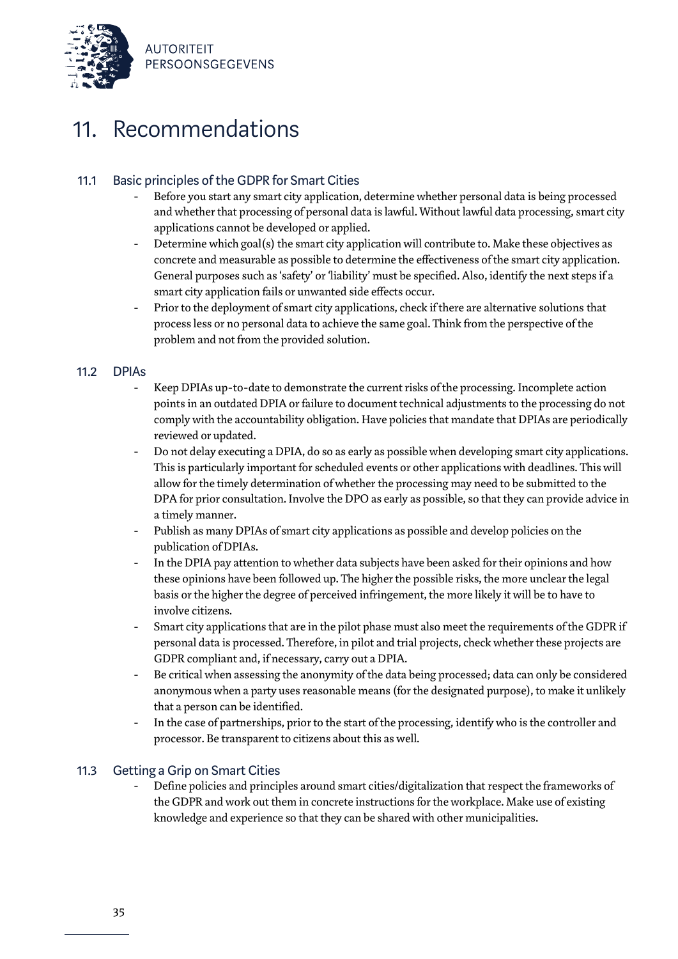

### 11. Recommendations

### 11.1 Basic principles of the GDPR for Smart Cities

- Before you start any smart city application, determine whether personal data is being processed and whether that processing of personal data is lawful. Without lawful data processing, smart city applications cannot be developed or applied.
- Determine which goal(s) the smart city application will contribute to. Make these objectives as concrete and measurable as possible to determine the effectiveness of the smart city application. General purposes such as 'safety' or 'liability' must be specified. Also, identify the next steps if a smart city application fails or unwanted side effects occur.
- Prior to the deployment of smart city applications, check if there are alternative solutions that process less or no personal data to achieve the same goal. Think from the perspective of the problem and not from the provided solution.

### 11.2 DPIAs

- Keep DPIAs up-to-date to demonstrate the current risks of the processing. Incomplete action points in an outdated DPIA or failure to document technical adjustments to the processing do not comply with the accountability obligation. Have policies that mandate that DPIAs are periodically reviewed or updated.
- Do not delay executing a DPIA, do so as early as possible when developing smart city applications. This is particularly important for scheduled events or other applications with deadlines. This will allow for the timely determination of whether the processing may need to be submitted to the DPA for prior consultation. Involve the DPO as early as possible, so that they can provide advice in a timely manner.
- Publish as many DPIAs of smart city applications as possible and develop policies on the publication of DPIAs.
- In the DPIA pay attention to whether data subjects have been asked for their opinions and how these opinions have been followed up. The higher the possible risks, the more unclear the legal basis or the higher the degree of perceived infringement, the more likely it will be to have to involve citizens.
- Smart city applications that are in the pilot phase must also meet the requirements of the GDPR if personal data is processed. Therefore, in pilot and trial projects, check whether these projects are GDPR compliant and, if necessary, carry out a DPIA.
- Be critical when assessing the anonymity of the data being processed; data can only be considered anonymous when a party uses reasonable means (for the designated purpose), to make it unlikely that a person can be identified.
- In the case of partnerships, prior to the start of the processing, identify who is the controller and processor. Be transparent to citizens about this as well.

### 11.3 Getting a Grip on Smart Cities

Define policies and principles around smart cities/digitalization that respect the frameworks of the GDPR and work out them in concrete instructions for the workplace. Make use of existing knowledge and experience so that they can be shared with other municipalities.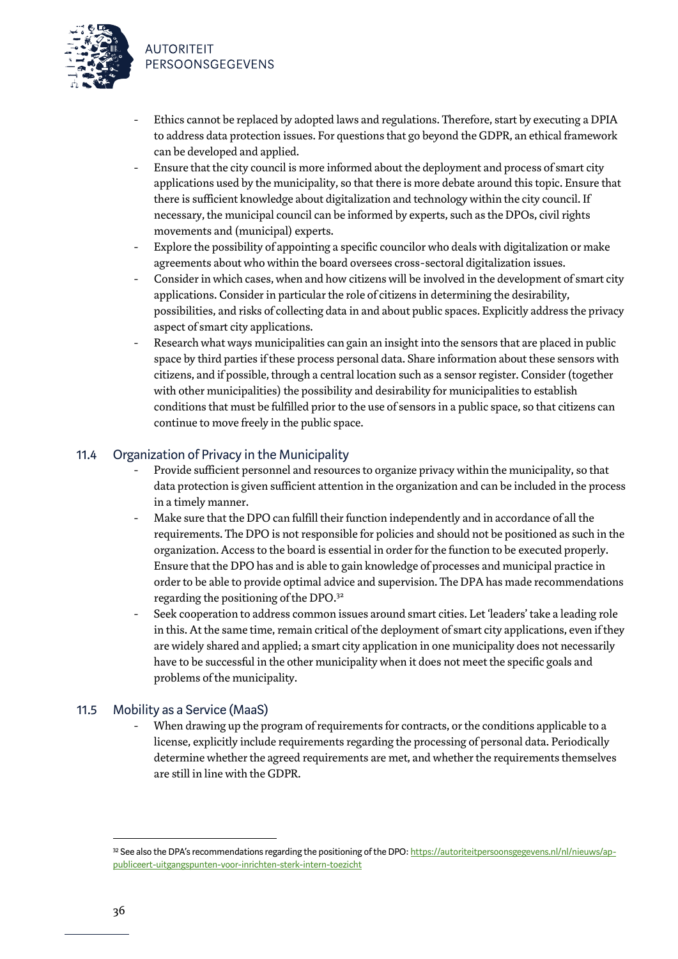

- Ethics cannot be replaced by adopted laws and regulations. Therefore, start by executing a DPIA to address data protection issues. For questions that go beyond the GDPR, an ethical framework can be developed and applied.
- Ensure that the city council is more informed about the deployment and process of smart city applications used by the municipality, so that there is more debate around this topic. Ensure that there is sufficient knowledge about digitalization and technology within the city council. If necessary, the municipal council can be informed by experts, such as the DPOs, civil rights movements and (municipal) experts.
- Explore the possibility of appointing a specific councilor who deals with digitalization or make agreements about who within the board oversees cross-sectoral digitalization issues.
- Consider in which cases, when and how citizens will be involved in the development of smart city applications. Consider in particular the role of citizens in determining the desirability, possibilities, and risks of collecting data in and about public spaces. Explicitly address the privacy aspect of smart city applications.
- Research what ways municipalities can gain an insight into the sensors that are placed in public space by third partiesif these process personal data. Share information about these sensors with citizens, and if possible, through a central location such as a sensor register. Consider (together with other municipalities) the possibility and desirability for municipalities to establish conditionsthat must be fulfilled prior to the use of sensors in a public space, so that citizens can continue to move freely in the public space.

### 11.4 Organization of Privacy in the Municipality

- Provide sufficient personnel and resources to organize privacy within the municipality, so that data protection is given sufficient attention in the organization and can be included in the process in a timely manner.
- Make sure that the DPO can fulfill their function independently and in accordance of all the requirements. The DPO is not responsible for policies and should not be positioned as such in the organization. Access to the board is essential in order for the function to be executed properly. Ensure that the DPO has and is able to gain knowledge of processes and municipal practice in order to be able to provide optimal advice and supervision. The DPA has made recommendations regarding the positioning of the DPO.<sup>32</sup>
- Seek cooperation to address common issues around smart cities. Let 'leaders' take a leading role in this. At the same time, remain critical of the deployment of smart city applications, even if they are widely shared and applied; a smart city application in one municipality does not necessarily have to be successful in the other municipality when it does not meet the specific goals and problems of the municipality.

### 11.5 Mobility as a Service (MaaS)

When drawing up the program of requirements for contracts, or the conditions applicable to a license, explicitly include requirements regarding the processing of personal data. Periodically determine whether the agreed requirements are met, and whether the requirements themselves are still in line with the GDPR.

<sup>32</sup> See also the DPA's recommendations regarding the positioning of the DPO[: https://autoriteitpersoonsgegevens.nl/nl/nieuws/ap](https://autoriteitpersoonsgegevens.nl/nl/nieuws/ap-publiceert-uitgangspunten-voor-inrichten-sterk-intern-toezicht)[publiceert-uitgangspunten-voor-inrichten-sterk-intern-toezicht](https://autoriteitpersoonsgegevens.nl/nl/nieuws/ap-publiceert-uitgangspunten-voor-inrichten-sterk-intern-toezicht)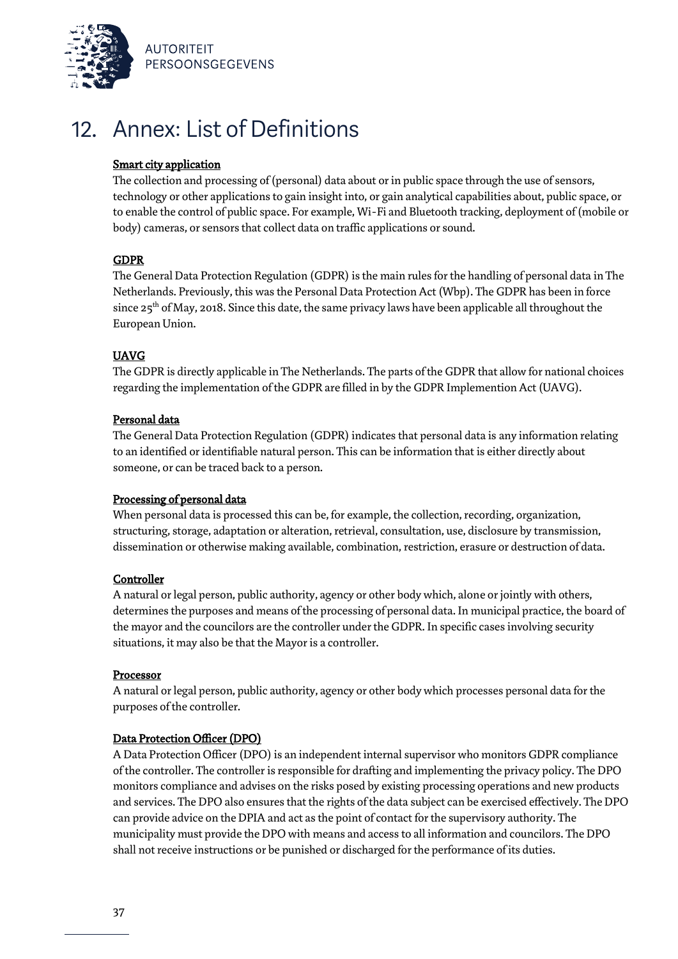

## 12. Annex: List of Definitions

### Smart city application

The collection and processing of (personal) data about or in public space through the use of sensors, technology or other applications to gain insight into, or gain analytical capabilities about, public space, or to enable the control of public space. For example, Wi-Fi and Bluetooth tracking, deployment of (mobile or body) cameras, or sensors that collect data on traffic applications or sound.

### GDPR

The General Data Protection Regulation (GDPR) is the main rules for the handling of personal data in The Netherlands. Previously, this wasthe Personal Data Protection Act (Wbp). The GDPR has been in force since 25<sup>th</sup> of May, 2018. Since this date, the same privacy laws have been applicable all throughout the European Union.

### UAVG

The GDPR is directly applicable in The Netherlands. The parts of the GDPR that allow for national choices regarding the implementation of the GDPR are filled in by the GDPR Implemention Act (UAVG).

### Personal data

The General Data Protection Regulation (GDPR) indicates that personal data is any information relating to an identified or identifiable natural person. This can be information that is either directly about someone, or can be traced back to a person.

### Processing of personal data

When personal data is processed this can be, for example, the collection, recording, organization, structuring, storage, adaptation or alteration, retrieval, consultation, use, disclosure by transmission, dissemination or otherwise making available, combination, restriction, erasure or destruction of data.

### **Controller**

A natural or legal person, public authority, agency or other body which, alone or jointly with others, determines the purposes and means of the processing of personal data. In municipal practice, the board of the mayor and the councilors are the controller under the GDPR. In specific cases involving security situations, it may also be that the Mayor is a controller.

### Processor

A natural or legal person, public authority, agency or other body which processes personal data for the purposes of the controller.

### Data Protection Officer (DPO)

A Data Protection Officer (DPO) is an independent internal supervisor who monitors GDPR compliance of the controller. The controller is responsible for drafting and implementing the privacy policy. The DPO monitors compliance and advises on the risks posed by existing processing operations and new products and services. The DPO also ensures that the rights of the data subject can be exercised effectively. The DPO can provide advice on the DPIA and act as the point of contact for the supervisory authority. The municipality must provide the DPO with means and access to all information and councilors. The DPO shall not receive instructions or be punished or discharged for the performance of its duties.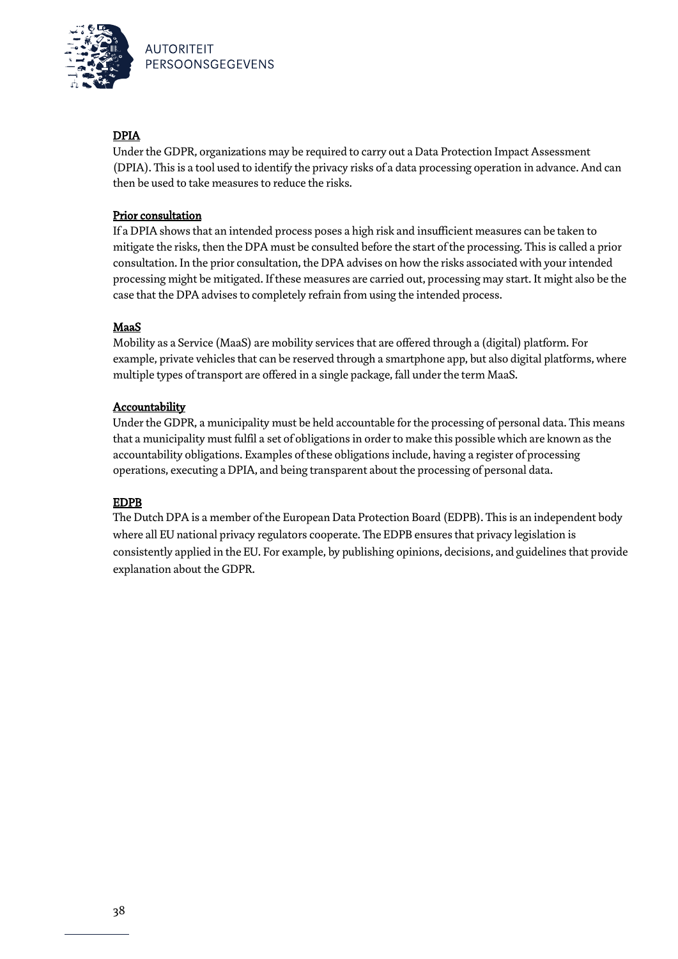

### DPIA

Under the GDPR, organizations may be required to carry out a Data Protection Impact Assessment (DPIA). This is a tool used to identify the privacy risks of a data processing operation in advance. And can then be used to take measures to reduce the risks.

### Prior consultation

If a DPIA shows that an intended process poses a high risk and insufficient measures can be taken to mitigate the risks, then the DPA must be consulted before the start of the processing. This is called a prior consultation. In the prior consultation, the DPA advises on how the risks associated with your intended processing might be mitigated. If these measures are carried out, processing may start. It might also be the case that the DPA advises to completely refrain from using the intended process.

### MaaS

Mobility as a Service (MaaS) are mobility services that are offered through a (digital) platform. For example, private vehicles that can be reserved through a smartphone app, but also digital platforms, where multiple types of transport are offered in a single package, fall under the term MaaS.

### **Accountability**

Under the GDPR, a municipality must be held accountable for the processing of personal data. This means that a municipality must fulfil a set of obligations in order to make this possible which are known as the accountability obligations. Examples of these obligations include, having a register of processing operations, executing a DPIA, and being transparent about the processing of personal data.

### EDPB

The Dutch DPA is a member of the European Data Protection Board (EDPB). This is an independent body where all EU national privacy regulators cooperate. The EDPB ensures that privacy legislation is consistently applied in the EU. For example, by publishing opinions, decisions, and guidelines that provide explanation about the GDPR.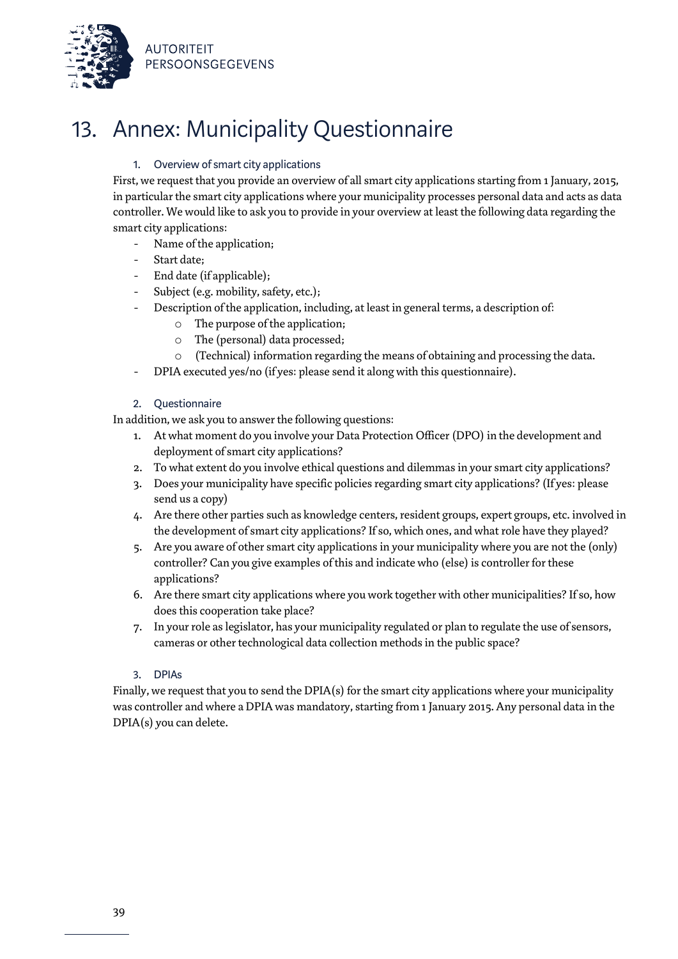

# 13. Annex: Municipality Questionnaire

### 1. Overview of smart city applications

First, we request that you provide an overview of all smart city applications starting from 1 January, 2015, in particular the smart city applications where your municipality processes personal data and acts as data controller. We would like to ask you to provide in your overview at least the following data regarding the smart city applications:

- Name of the application;
- Start date:
- End date (if applicable);
- Subject (e.g. mobility, safety, etc.);
- Description of the application, including, at least in general terms, a description of:
	- o The purpose of the application;
	- o The (personal) data processed;
	- (Technical) information regarding the means of obtaining and processing the data.
- DPIA executed yes/no (if yes: please send it along with this questionnaire).

### 2. Questionnaire

In addition, we ask you to answer the following questions:

- 1. At what moment do you involve your Data Protection Officer (DPO) in the development and deployment of smart city applications?
- 2. To what extent do you involve ethical questions and dilemmas in your smart city applications?
- 3. Does your municipality have specific policies regarding smart city applications? (If yes: please send us a copy)
- 4. Are there other parties such as knowledge centers, resident groups, expert groups, etc. involved in the development of smart city applications? If so, which ones, and what role have they played?
- 5. Are you aware of other smart city applications in your municipality where you are not the (only) controller? Can you give examples of this and indicate who (else) is controller for these applications?
- 6. Are there smart city applications where you work together with other municipalities? If so, how does this cooperation take place?
- 7. In your role aslegislator, has your municipality regulated or plan to regulate the use of sensors, cameras or other technological data collection methods in the public space?

### 3. DPIAs

Finally, we request that you to send the DPIA(s) for the smart city applications where your municipality was controller and where a DPIA was mandatory, starting from 1 January 2015. Any personal data in the DPIA(s) you can delete.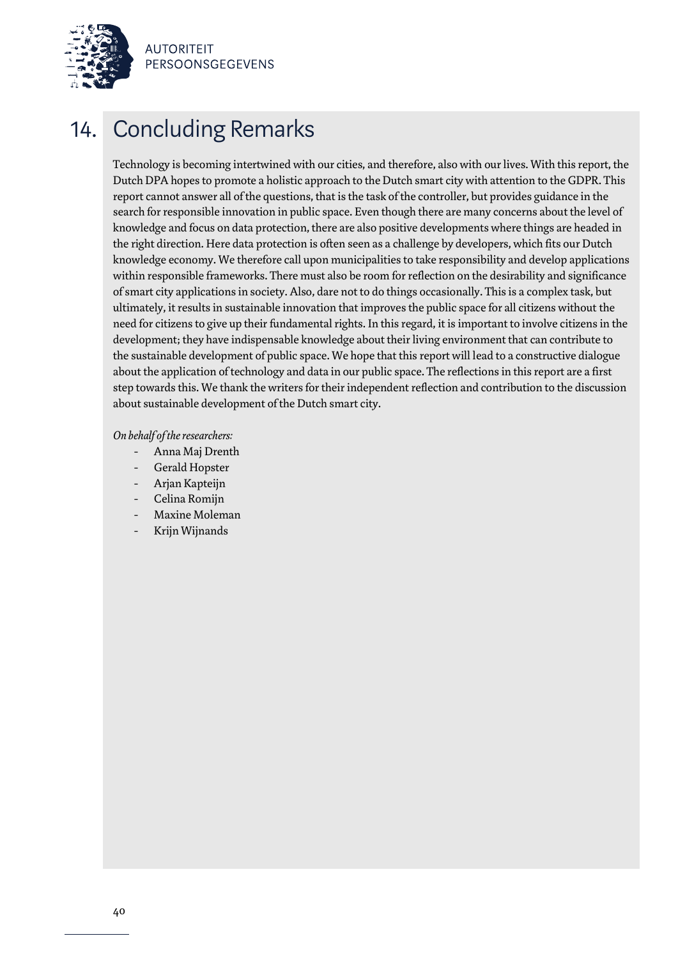

# 14. Concluding Remarks

Technology is becoming intertwined with our cities, and therefore, also with our lives. With this report, the Dutch DPA hopes to promote a holistic approach to the Dutch smart city with attention to the GDPR. This report cannot answer all of the questions, that is the task of the controller, but provides guidance in the search for responsible innovation in public space. Even though there are many concerns about the level of knowledge and focus on data protection, there are also positive developments where things are headed in the right direction. Here data protection is often seen as a challenge by developers, which fits our Dutch knowledge economy. We therefore call upon municipalities to take responsibility and develop applications within responsible frameworks. There must also be room for reflection on the desirability and significance of smart city applications in society. Also, dare not to do things occasionally. This is a complex task, but ultimately, it results in sustainable innovation that improves the public space for all citizens without the need for citizens to give up their fundamental rights. In this regard, it is important to involve citizens in the development; they have indispensable knowledge about their living environment that can contribute to the sustainable development of public space. We hope that this report will lead to a constructive dialogue about the application of technology and data in our public space. The reflections in this report are a first step towards this. We thank the writers for their independent reflection and contribution to the discussion about sustainable development of the Dutch smart city.

### *On behalf of the researchers:*

- Anna Maj Drenth
- Gerald Hopster
- Arjan Kapteijn
- Celina Romijn
- Maxine Moleman
- Krijn Wijnands